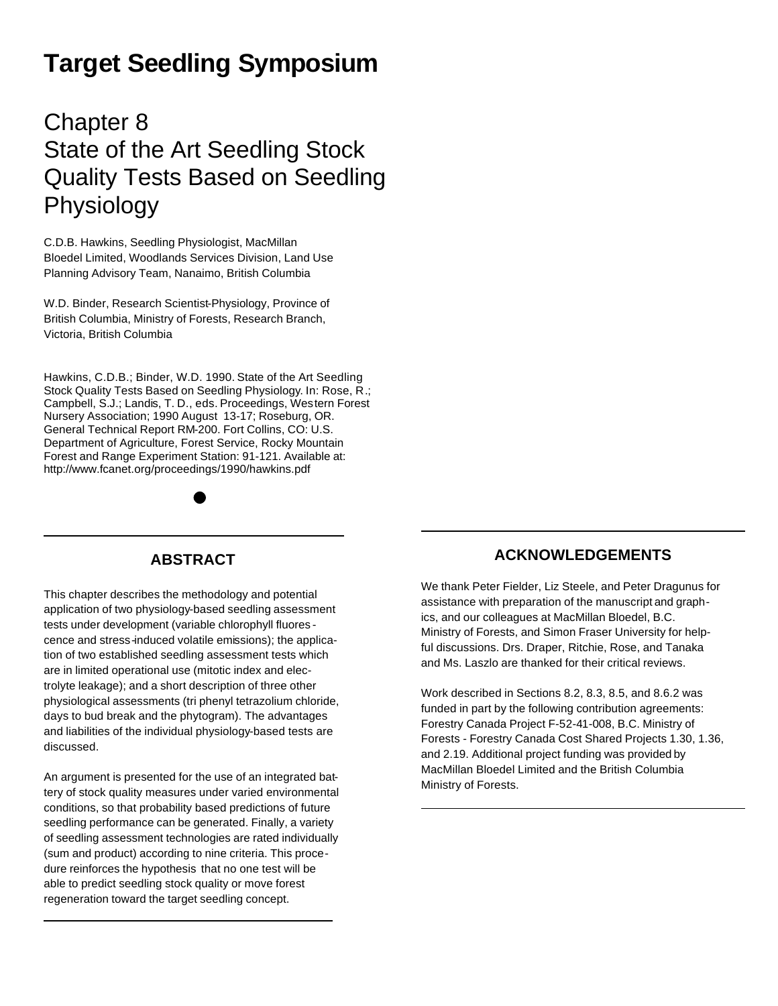# **Target Seedling Symposium**

## Chapter 8 State of the Art Seedling Stock Quality Tests Based on Seedling Physiology

C.D.B. Hawkins, Seedling Physiologist, MacMillan Bloedel Limited, Woodlands Services Division, Land Use Planning Advisory Team, Nanaimo, British Columbia

W.D. Binder, Research Scientist-Physiology, Province of British Columbia, Ministry of Forests, Research Branch, Victoria, British Columbia

Hawkins, C.D.B.; Binder, W.D. 1990. State of the Art Seedling Stock Quality Tests Based on Seedling Physiology. In: Rose, R.; Campbell, S.J.; Landis, T. D., eds. Proceedings, Western Forest Nursery Association; 1990 August 13-17; Roseburg, OR. General Technical Report RM-200. Fort Collins, CO: U.S. Department of Agriculture, Forest Service, Rocky Mountain Forest and Range Experiment Station: 91-121. Available at: http://www.fcanet.org/proceedings/1990/hawkins.pdf

### **ABSTRACT**

This chapter describes the methodology and potential application of two physiology-based seedling assessment tests under development (variable chlorophyll fluores cence and stress-induced volatile emissions); the application of two established seedling assessment tests which are in limited operational use (mitotic index and electrolyte leakage); and a short description of three other physiological assessments (tri phenyl tetrazolium chloride, days to bud break and the phytogram). The advantages and liabilities of the individual physiology-based tests are discussed.

An argument is presented for the use of an integrated battery of stock quality measures under varied environmental conditions, so that probability based predictions of future seedling performance can be generated. Finally, a variety of seedling assessment technologies are rated individually (sum and product) according to nine criteria. This procedure reinforces the hypothesis that no one test will be able to predict seedling stock quality or move forest regeneration toward the target seedling concept.

### **ACKNOWLEDGEMENTS**

We thank Peter Fielder, Liz Steele, and Peter Dragunus for assistance with preparation of the manuscript and graphics, and our colleagues at MacMillan Bloedel, B.C. Ministry of Forests, and Simon Fraser University for helpful discussions. Drs. Draper, Ritchie, Rose, and Tanaka and Ms. Laszlo are thanked for their critical reviews.

Work described in Sections 8.2, 8.3, 8.5, and 8.6.2 was funded in part by the following contribution agreements: Forestry Canada Project F-52-41-008, B.C. Ministry of Forests - Forestry Canada Cost Shared Projects 1.30, 1.36, and 2.19. Additional project funding was provided by MacMillan Bloedel Limited and the British Columbia Ministry of Forests.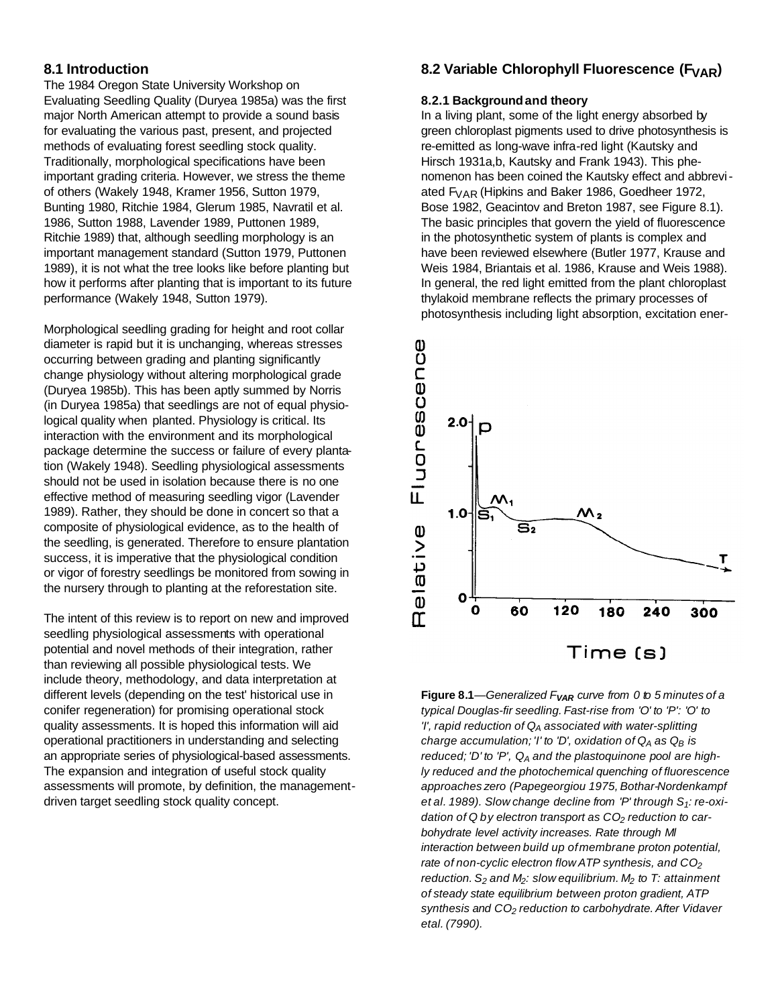### **8.1 Introduction**

The 1984 Oregon State University Workshop on Evaluating Seedling Quality (Duryea 1985a) was the first major North American attempt to provide a sound basis for evaluating the various past, present, and projected methods of evaluating forest seedling stock quality. Traditionally, morphological specifications have been important grading criteria. However, we stress the theme of others (Wakely 1948, Kramer 1956, Sutton 1979, Bunting 1980, Ritchie 1984, Glerum 1985, Navratil et al. 1986, Sutton 1988, Lavender 1989, Puttonen 1989, Ritchie 1989) that, although seedling morphology is an important management standard (Sutton 1979, Puttonen 1989), it is not what the tree looks like before planting but how it performs after planting that is important to its future performance (Wakely 1948, Sutton 1979).

Morphological seedling grading for height and root collar diameter is rapid but it is unchanging, whereas stresses occurring between grading and planting significantly change physiology without altering morphological grade (Duryea 1985b). This has been aptly summed by Norris (in Duryea 1985a) that seedlings are not of equal physiological quality when planted. Physiology is critical. Its interaction with the environment and its morphological package determine the success or failure of every plantation (Wakely 1948). Seedling physiological assessments should not be used in isolation because there is no one effective method of measuring seedling vigor (Lavender 1989). Rather, they should be done in concert so that a composite of physiological evidence, as to the health of the seedling, is generated. Therefore to ensure plantation success, it is imperative that the physiological condition or vigor of forestry seedlings be monitored from sowing in the nursery through to planting at the reforestation site.

The intent of this review is to report on new and improved seedling physiological assessments with operational potential and novel methods of their integration, rather than reviewing all possible physiological tests. We include theory, methodology, and data interpretation at different levels (depending on the test' historical use in conifer regeneration) for promising operational stock quality assessments. It is hoped this information will aid operational practitioners in understanding and selecting an appropriate series of physiological-based assessments. The expansion and integration of useful stock quality assessments will promote, by definition, the managementdriven target seedling stock quality concept.

### **8.2 Variable Chlorophyll Fluorescence (FVAR)**

#### **8.2.1 Backgroundand theory**

In a living plant, some of the light energy absorbed by green chloroplast pigments used to drive photosynthesis is re-emitted as long-wave infra-red light (Kautsky and Hirsch 1931a,b, Kautsky and Frank 1943). This phenomenon has been coined the Kautsky effect and abbreviated FVAR (Hipkins and Baker 1986, Goedheer 1972, Bose 1982, Geacintov and Breton 1987, see Figure 8.1). The basic principles that govern the yield of fluorescence in the photosynthetic system of plants is complex and have been reviewed elsewhere (Butler 1977, Krause and Weis 1984, Briantais et al. 1986, Krause and Weis 1988). In general, the red light emitted from the plant chloroplast thylakoid membrane reflects the primary processes of photosynthesis including light absorption, excitation ener-



**Figure 8.1***—Generalized FVAR curve from 0 to 5 minutes of a typical Douglas-fir seedling. Fast-rise from 'O' to 'P': 'O' to 'I', rapid reduction of Q<sup>A</sup> associated with water-splitting charge accumulation; 'I' to 'D', oxidation of Q<sup>A</sup> as Q<sup>B</sup> is reduced; 'D' to 'P', Q<sup>A</sup> and the plastoquinone pool are highly reduced and the photochemical quenching of fluorescence approaches zero (Papegeorgiou 1975, Bothar-Nordenkampf et al. 1989). Slow change decline from 'P' through S1: re-oxidation of Q by electron transport as CO<sup>2</sup> reduction to carbohydrate level activity increases. Rate through Ml interaction between build up ofmembrane proton potential, rate of non-cyclic electron flow ATP synthesis, and CO<sup>2</sup> reduction. S<sup>2</sup> and M2: slow equilibrium. M<sup>2</sup> to T: attainment of steady state equilibrium between proton gradient, ATP synthesis and CO<sup>2</sup> reduction to carbohydrate. After Vidaver etal. (7990).*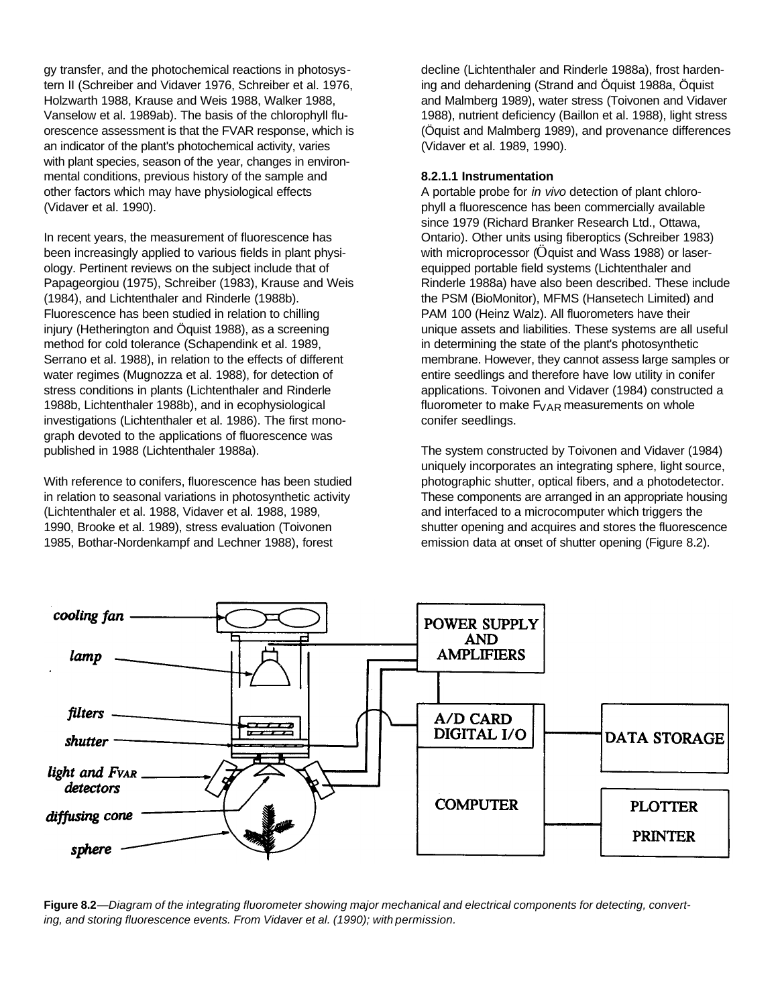gy transfer, and the photochemical reactions in photosystern II (Schreiber and Vidaver 1976, Schreiber et al. 1976, Holzwarth 1988, Krause and Weis 1988, Walker 1988, Vanselow et al. 1989ab). The basis of the chlorophyll fluorescence assessment is that the FVAR response, which is an indicator of the plant's photochemical activity, varies with plant species, season of the year, changes in environmental conditions, previous history of the sample and other factors which may have physiological effects (Vidaver et al. 1990).

In recent years, the measurement of fluorescence has been increasingly applied to various fields in plant physiology. Pertinent reviews on the subject include that of Papageorgiou (1975), Schreiber (1983), Krause and Weis (1984), and Lichtenthaler and Rinderle (1988b). Fluorescence has been studied in relation to chilling injury (Hetherington and Öquist 1988), as a screening method for cold tolerance (Schapendink et al. 1989, Serrano et al. 1988), in relation to the effects of different water regimes (Mugnozza et al. 1988), for detection of stress conditions in plants (Lichtenthaler and Rinderle 1988b, Lichtenthaler 1988b), and in ecophysiological investigations (Lichtenthaler et al. 1986). The first monograph devoted to the applications of fluorescence was published in 1988 (Lichtenthaler 1988a).

With reference to conifers, fluorescence has been studied in relation to seasonal variations in photosynthetic activity (Lichtenthaler et al. 1988, Vidaver et al. 1988, 1989, 1990, Brooke et al. 1989), stress evaluation (Toivonen 1985, Bothar-Nordenkampf and Lechner 1988), forest

decline (Lichtenthaler and Rinderle 1988a), frost hardening and dehardening (Strand and Öquist 1988a, Öquist and Malmberg 1989), water stress (Toivonen and Vidaver 1988), nutrient deficiency (Baillon et al. 1988), light stress (Öquist and Malmberg 1989), and provenance differences (Vidaver et al. 1989, 1990).

### **8.2.1.1 Instrumentation**

A portable probe for *in vivo* detection of plant chlorophyll a fluorescence has been commercially available since 1979 (Richard Branker Research Ltd., Ottawa, Ontario). Other units using fiberoptics (Schreiber 1983) with microprocessor (Öquist and Wass 1988) or laserequipped portable field systems (Lichtenthaler and Rinderle 1988a) have also been described. These include the PSM (BioMonitor), MFMS (Hansetech Limited) and PAM 100 (Heinz Walz). All fluorometers have their unique assets and liabilities. These systems are all useful in determining the state of the plant's photosynthetic membrane. However, they cannot assess large samples or entire seedlings and therefore have low utility in conifer applications. Toivonen and Vidaver (1984) constructed a fluorometer to make  $F_{VAR}$  measurements on whole conifer seedlings.

The system constructed by Toivonen and Vidaver (1984) uniquely incorporates an integrating sphere, light source, photographic shutter, optical fibers, and a photodetector. These components are arranged in an appropriate housing and interfaced to a microcomputer which triggers the shutter opening and acquires and stores the fluorescence emission data at onset of shutter opening (Figure 8.2).



**Figure 8.2**—*Diagram of the integrating fluorometer showing major mechanical and electrical components for detecting, converting, and storing fluorescence events. From Vidaver et al. (1990); with permission.*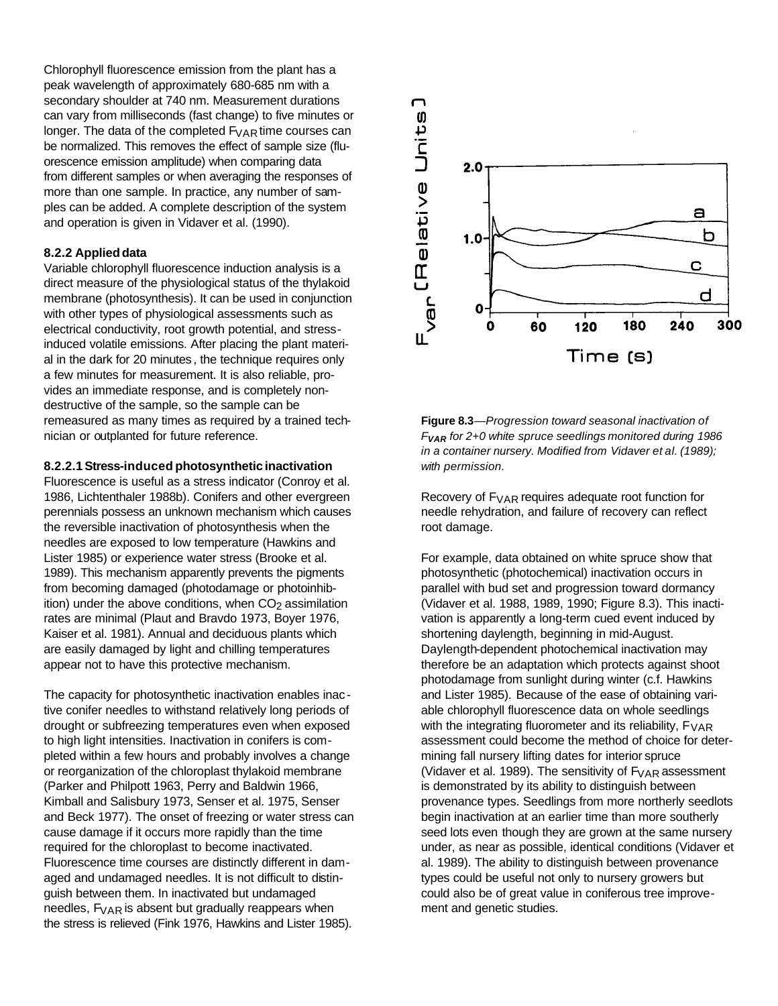Chlorophyll fluorescence emission from the plant has a peak wavelength of approximately 680-685 nm with a secondary shoulder at 740 nm. Measurement durations can vary from milliseconds (fast change) to five minutes or longer. The data of the completed  $F_{VAR}$  time courses can be normalized. This removes the effect of sample size (fluorescence emission amplitude) when comparing data from different samples or when averaging the responses of more than one sample. In practice, any number of samples can be added. A complete description of the system and operation is given in Vidaver et al. (1990).

### **8.2.2 Applieddata**

Variable chlorophyll fluorescence induction analysis is a direct measure of the physiological status of the thylakoid membrane (photosynthesis). It can be used in conjunction with other types of physiological assessments such as electrical conductivity, root growth potential, and stressinduced volatile emissions. After placing the plant material in the dark for 20 minutes , the technique requires only a few minutes for measurement. It is also reliable, provides an immediate response, and is completely nondestructive of the sample, so the sample can be remeasured as many times as required by a trained technician or outplanted for future reference.

### **8.2.2.1 Stress-induced photosynthetic inactivation**

Fluorescence is useful as a stress indicator (Conroy et al. 1986, Lichtenthaler 1988b). Conifers and other evergreen perennials possess an unknown mechanism which causes the reversible inactivation of photosynthesis when the needles are exposed to low temperature (Hawkins and Lister 1985) or experience water stress (Brooke et al. 1989). This mechanism apparently prevents the pigments from becoming damaged (photodamage or photoinhibition) under the above conditions, when  $CO<sub>2</sub>$  assimilation rates are minimal (Plaut and Bravdo 1973, Boyer 1976, Kaiser et al. 1981). Annual and deciduous plants which are easily damaged by light and chilling temperatures appear not to have this protective mechanism.

The capacity for photosynthetic inactivation enables inac tive conifer needles to withstand relatively long periods of drought or subfreezing temperatures even when exposed to high light intensities. Inactivation in conifers is completed within a few hours and probably involves a change or reorganization of the chloroplast thylakoid membrane (Parker and Philpott 1963, Perry and Baldwin 1966, Kimball and Salisbury 1973, Senser et al. 1975, Senser and Beck 1977). The onset of freezing or water stress can cause damage if it occurs more rapidly than the time required for the chloroplast to become inactivated. Fluorescence time courses are distinctly different in damaged and undamaged needles. It is not difficult to distinguish between them. In inactivated but undamaged needles,  $F_{VAR}$  is absent but gradually reappears when the stress is relieved (Fink 1976, Hawkins and Lister 1985).



**Figure 8.3**—*Progression toward seasonal inactivation of FVAR for 2+0 white spruce seedlings monitored during 1986 in a container nursery. Modified from Vidaver et al. (1989); with permission.*

Recovery of FVAR requires adequate root function for needle rehydration, and failure of recovery can reflect root damage.

For example, data obtained on white spruce show that photosynthetic (photochemical) inactivation occurs in parallel with bud set and progression toward dormancy (Vidaver et al. 1988, 1989, 1990; Figure 8.3). This inactivation is apparently a long-term cued event induced by shortening daylength, beginning in mid-August. Daylength-dependent photochemical inactivation may therefore be an adaptation which protects against shoot photodamage from sunlight during winter (c.f. Hawkins and Lister 1985). Because of the ease of obtaining variable chlorophyll fluorescence data on whole seedlings with the integrating fluorometer and its reliability,  $F_{VAR}$ assessment could become the method of choice for determining fall nursery lifting dates for interior spruce (Vidaver et al. 1989). The sensitivity of  $F_{VAR}$  assessment is demonstrated by its ability to distinguish between provenance types. Seedlings from more northerly seedlots begin inactivation at an earlier time than more southerly seed lots even though they are grown at the same nursery under, as near as possible, identical conditions (Vidaver et al. 1989). The ability to distinguish between provenance types could be useful not only to nursery growers but could also be of great value in coniferous tree improvement and genetic studies.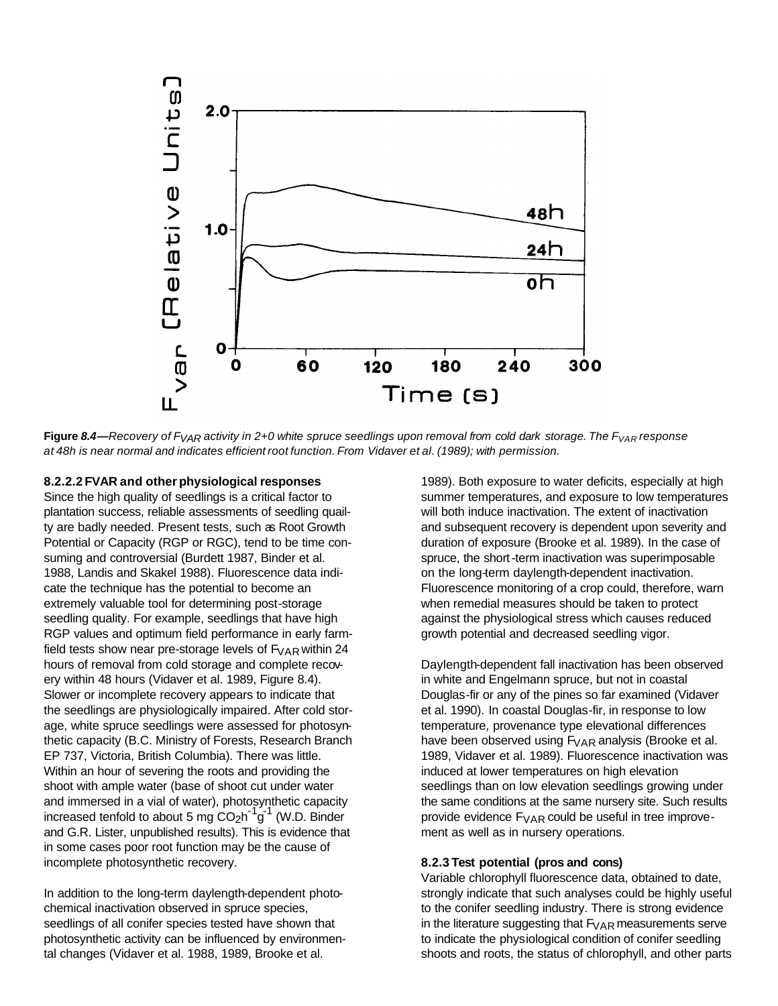

Figure 8.4—Recovery of F<sub>VAR</sub> activity in 2+0 white spruce seedlings upon removal from cold dark storage. The F<sub>VAR</sub> response *at 48h is near normal and indicates efficient root function. From Vidaver et al. (1989); with permission.*

#### **8.2.2.2 FVAR and other physiological responses**

Since the high quality of seedlings is a critical factor to plantation success, reliable assessments of seedling quailty are badly needed. Present tests, such as Root Growth Potential or Capacity (RGP or RGC), tend to be time consuming and controversial (Burdett 1987, Binder et al. 1988, Landis and Skakel 1988). Fluorescence data indicate the technique has the potential to become an extremely valuable tool for determining post-storage seedling quality. For example, seedlings that have high RGP values and optimum field performance in early farmfield tests show near pre-storage levels of  $F_{VAR}$  within 24 hours of removal from cold storage and complete recovery within 48 hours (Vidaver et al. 1989, Figure 8.4). Slower or incomplete recovery appears to indicate that the seedlings are physiologically impaired. After cold storage, white spruce seedlings were assessed for photosynthetic capacity (B.C. Ministry of Forests, Research Branch EP 737, Victoria, British Columbia). There was little. Within an hour of severing the roots and providing the shoot with ample water (base of shoot cut under water and immersed in a vial of water), photosynthetic capacity increased tenfold to about 5 mg  $CO_2h^{-1}g^{-1}$  (W.D. Binder and G.R. Lister, unpublished results). This is evidence that in some cases poor root function may be the cause of incomplete photosynthetic recovery.

In addition to the long-term daylength-dependent photochemical inactivation observed in spruce species, seedlings of all conifer species tested have shown that photosynthetic activity can be influenced by environmental changes (Vidaver et al. 1988, 1989, Brooke et al.

1989). Both exposure to water deficits, especially at high summer temperatures, and exposure to low temperatures will both induce inactivation. The extent of inactivation and subsequent recovery is dependent upon severity and duration of exposure (Brooke et al. 1989). In the case of spruce, the short-term inactivation was superimposable on the long-term daylength-dependent inactivation. Fluorescence monitoring of a crop could, therefore, warn when remedial measures should be taken to protect against the physiological stress which causes reduced growth potential and decreased seedling vigor.

Daylength-dependent fall inactivation has been observed in white and Engelmann spruce, but not in coastal Douglas-fir or any of the pines so far examined (Vidaver et al. 1990). In coastal Douglas-fir, in response to low temperature, provenance type elevational differences have been observed using  $F_{VAR}$  analysis (Brooke et al. 1989, Vidaver et al. 1989). Fluorescence inactivation was induced at lower temperatures on high elevation seedlings than on low elevation seedlings growing under the same conditions at the same nursery site. Such results provide evidence  $F_{VAR}$  could be useful in tree improvement as well as in nursery operations.

#### **8.2.3 Test potential (pros and cons)**

Variable chlorophyll fluorescence data, obtained to date, strongly indicate that such analyses could be highly useful to the conifer seedling industry. There is strong evidence in the literature suggesting that  $F_{VAR}$  measurements serve to indicate the physiological condition of conifer seedling shoots and roots, the status of chlorophyll, and other parts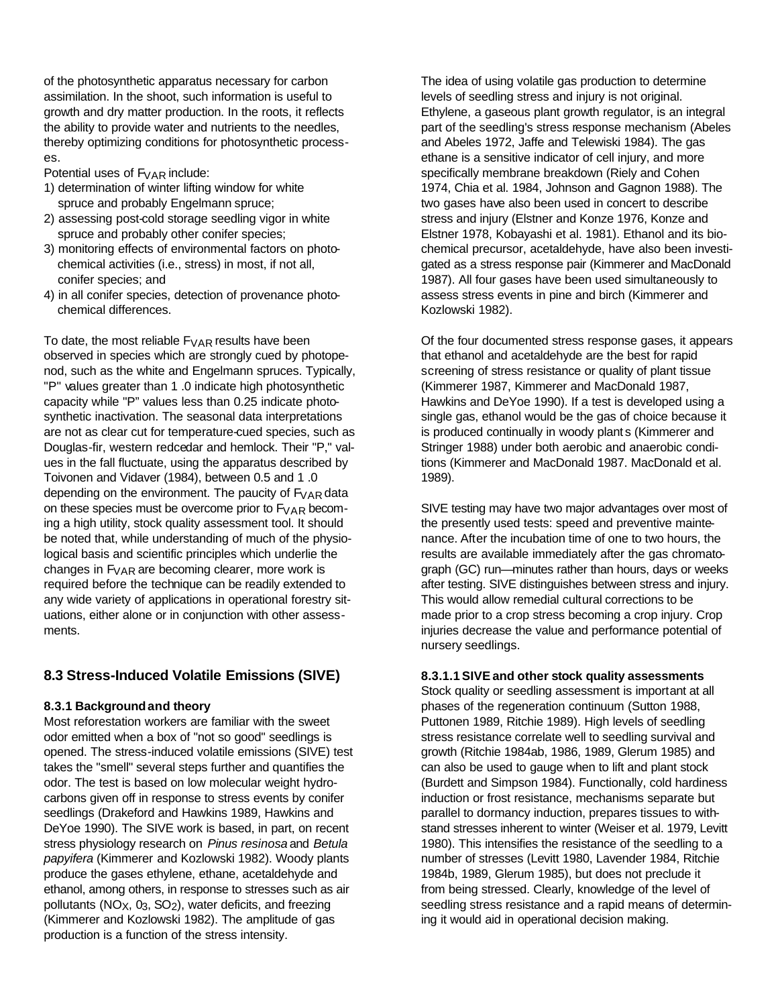of the photosynthetic apparatus necessary for carbon assimilation. In the shoot, such information is useful to growth and dry matter production. In the roots, it reflects the ability to provide water and nutrients to the needles, thereby optimizing conditions for photosynthetic processes.

Potential uses of  $F_{VAR}$  include:

- 1) determination of winter lifting window for white spruce and probably Engelmann spruce;
- 2) assessing post-cold storage seedling vigor in white spruce and probably other conifer species;
- 3) monitoring effects of environmental factors on photo chemical activities (i.e., stress) in most, if not all, conifer species; and
- 4) in all conifer species, detection of provenance photo chemical differences.

To date, the most reliable  $F_{VAR}$  results have been observed in species which are strongly cued by photopenod, such as the white and Engelmann spruces. Typically, "P" values greater than 1 .0 indicate high photosynthetic capacity while "P" values less than 0.25 indicate photosynthetic inactivation. The seasonal data interpretations are not as clear cut for temperature-cued species, such as Douglas-fir, western redcedar and hemlock. Their "P," values in the fall fluctuate, using the apparatus described by Toivonen and Vidaver (1984), between 0.5 and 1 .0 depending on the environment. The paucity of  $F_{VAR}$  data on these species must be overcome prior to  $F_{VAR}$  becoming a high utility, stock quality assessment tool. It should be noted that, while understanding of much of the physiological basis and scientific principles which underlie the changes in  $F_{VAR}$  are becoming clearer, more work is required before the technique can be readily extended to any wide variety of applications in operational forestry situations, either alone or in conjunction with other assessments.

### **8.3 Stress-Induced Volatile Emissions (SIVE)**

### **8.3.1 Backgroundand theory**

Most reforestation workers are familiar with the sweet odor emitted when a box of "not so good" seedlings is opened. The stress-induced volatile emissions (SIVE) test takes the "smell" several steps further and quantifies the odor. The test is based on low molecular weight hydrocarbons given off in response to stress events by conifer seedlings (Drakeford and Hawkins 1989, Hawkins and DeYoe 1990). The SIVE work is based, in part, on recent stress physiology research on *Pinus resinosa* and *Betula papyifera* (Kimmerer and Kozlowski 1982). Woody plants produce the gases ethylene, ethane, acetaldehyde and ethanol, among others, in response to stresses such as air pollutants ( $NO<sub>X</sub>$ ,  $O<sub>3</sub>$ ,  $SO<sub>2</sub>$ ), water deficits, and freezing (Kimmerer and Kozlowski 1982). The amplitude of gas production is a function of the stress intensity.

The idea of using volatile gas production to determine levels of seedling stress and injury is not original. Ethylene, a gaseous plant growth regulator, is an integral part of the seedling's stress response mechanism (Abeles and Abeles 1972, Jaffe and Telewiski 1984). The gas ethane is a sensitive indicator of cell injury, and more specifically membrane breakdown (Riely and Cohen 1974, Chia et al. 1984, Johnson and Gagnon 1988). The two gases have also been used in concert to describe stress and injury (Elstner and Konze 1976, Konze and Elstner 1978, Kobayashi et al. 1981). Ethanol and its biochemical precursor, acetaldehyde, have also been investigated as a stress response pair (Kimmerer and MacDonald 1987). All four gases have been used simultaneously to assess stress events in pine and birch (Kimmerer and Kozlowski 1982).

Of the four documented stress response gases, it appears that ethanol and acetaldehyde are the best for rapid screening of stress resistance or quality of plant tissue (Kimmerer 1987, Kimmerer and MacDonald 1987, Hawkins and DeYoe 1990). If a test is developed using a single gas, ethanol would be the gas of choice because it is produced continually in woody plant s (Kimmerer and Stringer 1988) under both aerobic and anaerobic conditions (Kimmerer and MacDonald 1987. MacDonald et al. 1989).

SIVE testing may have two major advantages over most of the presently used tests: speed and preventive maintenance. After the incubation time of one to two hours, the results are available immediately after the gas chromatograph (GC) run—minutes rather than hours, days or weeks after testing. SIVE distinguishes between stress and injury. This would allow remedial cultural corrections to be made prior to a crop stress becoming a crop injury. Crop injuries decrease the value and performance potential of nursery seedlings.

### **8.3.1.1 SIVEand other stock quality assessments**

Stock quality or seedling assessment is important at all phases of the regeneration continuum (Sutton 1988, Puttonen 1989, Ritchie 1989). High levels of seedling stress resistance correlate well to seedling survival and growth (Ritchie 1984ab, 1986, 1989, Glerum 1985) and can also be used to gauge when to lift and plant stock (Burdett and Simpson 1984). Functionally, cold hardiness induction or frost resistance, mechanisms separate but parallel to dormancy induction, prepares tissues to withstand stresses inherent to winter (Weiser et al. 1979, Levitt 1980). This intensifies the resistance of the seedling to a number of stresses (Levitt 1980, Lavender 1984, Ritchie 1984b, 1989, Glerum 1985), but does not preclude it from being stressed. Clearly, knowledge of the level of seedling stress resistance and a rapid means of determining it would aid in operational decision making.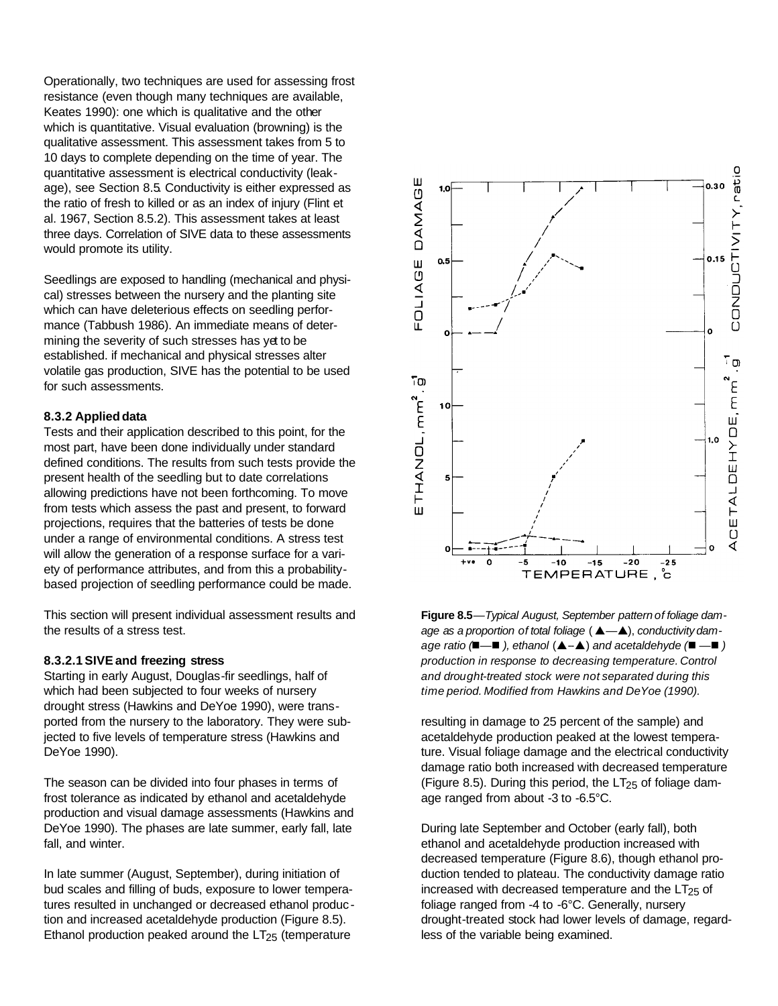Operationally, two techniques are used for assessing frost resistance (even though many techniques are available, Keates 1990): one which is qualitative and the other which is quantitative. Visual evaluation (browning) is the qualitative assessment. This assessment takes from 5 to 10 days to complete depending on the time of year. The quantitative assessment is electrical conductivity (leakage), see Section 8.5. Conductivity is either expressed as the ratio of fresh to killed or as an index of injury (Flint et al. 1967, Section 8.5.2). This assessment takes at least three days. Correlation of SIVE data to these assessments would promote its utility.

Seedlings are exposed to handling (mechanical and physical) stresses between the nursery and the planting site which can have deleterious effects on seedling performance (Tabbush 1986). An immediate means of determining the severity of such stresses has yet to be established. if mechanical and physical stresses alter volatile gas production, SIVE has the potential to be used for such assessments.

### **8.3.2 Applieddata**

Tests and their application described to this point, for the most part, have been done individually under standard defined conditions. The results from such tests provide the present health of the seedling but to date correlations allowing predictions have not been forthcoming. To move from tests which assess the past and present, to forward projections, requires that the batteries of tests be done under a range of environmental conditions. A stress test will allow the generation of a response surface for a variety of performance attributes, and from this a probabilitybased projection of seedling performance could be made.

This section will present individual assessment results and the results of a stress test.

#### **8.3.2.1 SIVEand freezing stress**

Starting in early August, Douglas-fir seedlings, half of which had been subjected to four weeks of nursery drought stress (Hawkins and DeYoe 1990), were transported from the nursery to the laboratory. They were subjected to five levels of temperature stress (Hawkins and DeYoe 1990).

The season can be divided into four phases in terms of frost tolerance as indicated by ethanol and acetaldehyde production and visual damage assessments (Hawkins and DeYoe 1990). The phases are late summer, early fall, late fall, and winter.

In late summer (August, September), during initiation of bud scales and filling of buds, exposure to lower temperatures resulted in unchanged or decreased ethanol produc tion and increased acetaldehyde production (Figure 8.5). Ethanol production peaked around the  $LT<sub>25</sub>$  (temperature



**Figure 8.5***—Typical August, September pattern of foliage damage as a proportion of total foliage* ( *p—p*), *conductivity damage ratio (*n*—*n *), ethanol* (*p*--*p*) *and acetaldehyde (*n *—*n *) production in response to decreasing temperature. Control and drought-treated stock were not separated during this time period. Modified from Hawkins and DeYoe (1990).*

resulting in damage to 25 percent of the sample) and acetaldehyde production peaked at the lowest temperature. Visual foliage damage and the electrical conductivity damage ratio both increased with decreased temperature (Figure 8.5). During this period, the  $LT<sub>25</sub>$  of foliage damage ranged from about -3 to -6.5°C.

During late September and October (early fall), both ethanol and acetaldehyde production increased with decreased temperature (Figure 8.6), though ethanol production tended to plateau. The conductivity damage ratio increased with decreased temperature and the  $LT_{25}$  of foliage ranged from -4 to -6°C. Generally, nursery drought-treated stock had lower levels of damage, regardless of the variable being examined.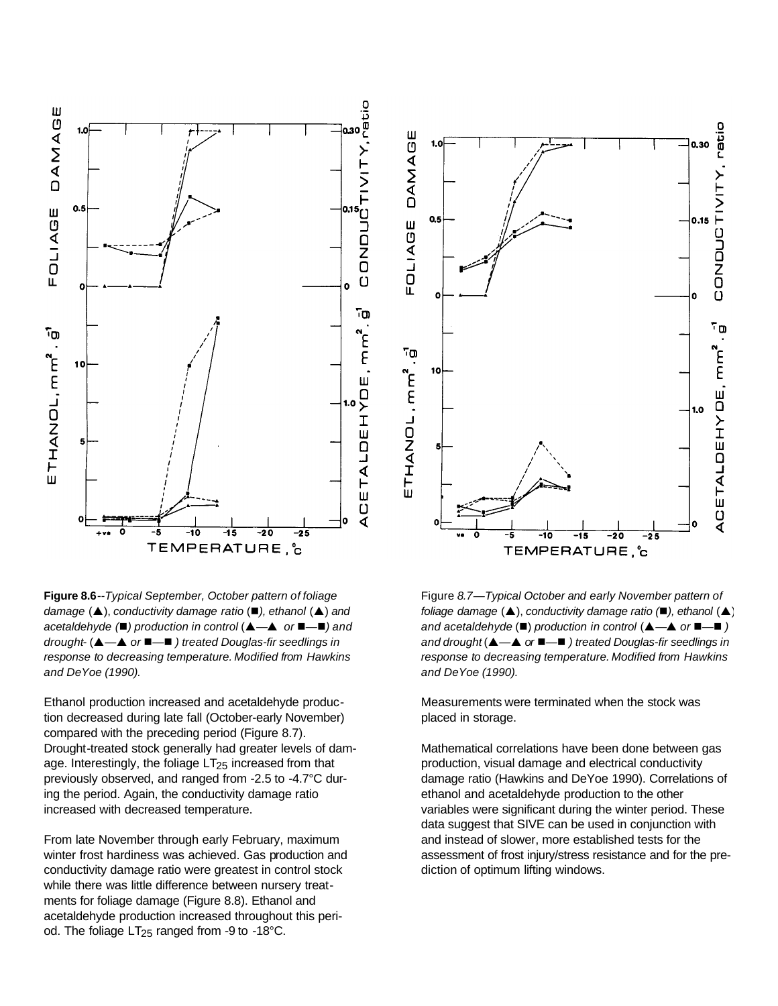

**Figure 8.6***--Typical September, October pattern of foliage damage* (▲), *conductivity damage ratio* (■), *ethanol* (▲) *and acetaldehyde* (■) *production in control* (▲ →▲ *or* ■ →■) *and drought-* (*p—p or* n*—*n *) treated Douglas-fir seedlings in response to decreasing temperature. Modified from Hawkins and DeYoe (1990).*

Ethanol production increased and acetaldehyde production decreased during late fall (October-early November) compared with the preceding period (Figure 8.7). Drought-treated stock generally had greater levels of damage. Interestingly, the foliage  $LT_{25}$  increased from that previously observed, and ranged from -2.5 to -4.7°C during the period. Again, the conductivity damage ratio increased with decreased temperature.

From late November through early February, maximum winter frost hardiness was achieved. Gas production and conductivity damage ratio were greatest in control stock while there was little difference between nursery treatments for foliage damage (Figure 8.8). Ethanol and acetaldehyde production increased throughout this period. The foliage LT<sub>25</sub> ranged from -9 to -18°C.



Figure *8.7—Typical October and early November pattern of foliage damage* ( $\blacktriangle$ ), *conductivity damage ratio* ( $\blacktriangle$ ), *ethanol* ( $\blacktriangle$ ) *and acetaldehyde* (■) *production in control* (▲ →▲ *or* ■ →■) *and drought* (*p—p or* n*—*n *) treated Douglas-fir seedlings in response to decreasing temperature. Modified from Hawkins and DeYoe (1990).*

Measurements were terminated when the stock was placed in storage.

Mathematical correlations have been done between gas production, visual damage and electrical conductivity damage ratio (Hawkins and DeYoe 1990). Correlations of ethanol and acetaldehyde production to the other variables were significant during the winter period. These data suggest that SIVE can be used in conjunction with and instead of slower, more established tests for the assessment of frost injury/stress resistance and for the prediction of optimum lifting windows.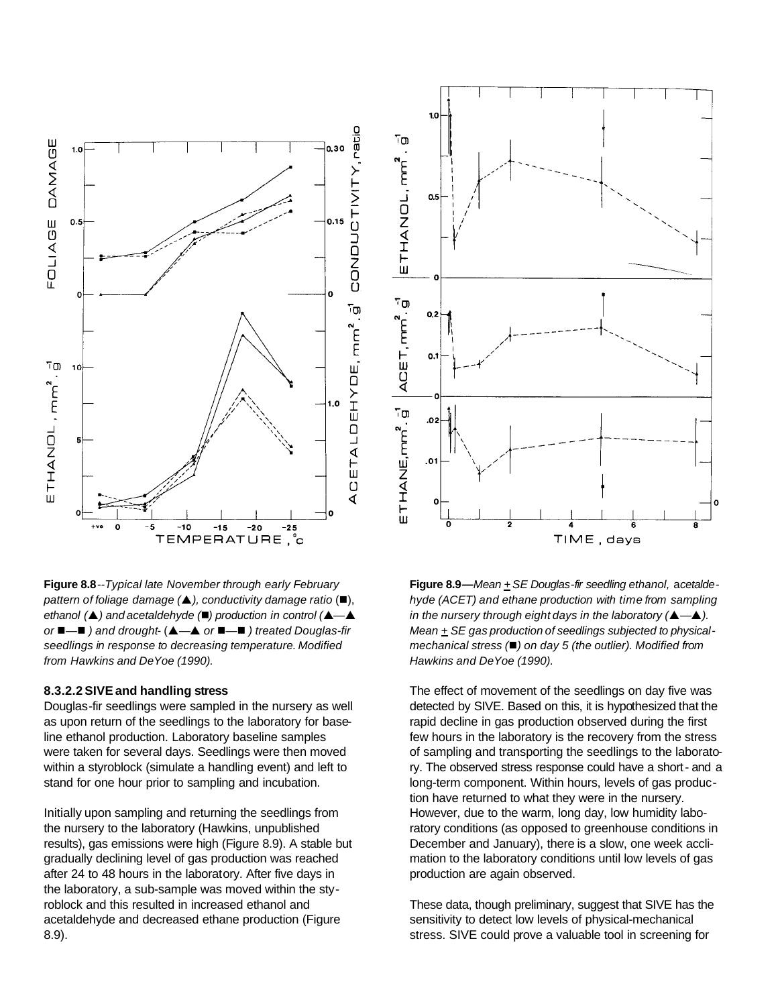

**Figure 8.8***--Typical late November through early February pattern of foliage damage (p), conductivity damage ratio* (n), *ethanol* ( $\triangle$ ) *and acetaldehyde* ( $\Box$ ) *production in control* ( $\triangle$ — $\triangle$ *or* ■ →■ *)* and drought- $(A - A)$  or ■ →■ *)* treated Douglas-fir *seedlings in response to decreasing temperature. Modified from Hawkins and DeYoe (1990).*

### **8.3.2.2 SIVEand handling stress**

Douglas-fir seedlings were sampled in the nursery as well as upon return of the seedlings to the laboratory for baseline ethanol production. Laboratory baseline samples were taken for several days. Seedlings were then moved within a styroblock (simulate a handling event) and left to stand for one hour prior to sampling and incubation.

Initially upon sampling and returning the seedlings from the nursery to the laboratory (Hawkins, unpublished results), gas emissions were high (Figure 8.9). A stable but gradually declining level of gas production was reached after 24 to 48 hours in the laboratory. After five days in the laboratory, a sub-sample was moved within the styroblock and this resulted in increased ethanol and acetaldehyde and decreased ethane production (Figure 8.9).



**Figure 8.9—***Mean +SE Douglas-fir seedling ethanol,* a*cetaldehyde (ACET) and ethane production with time from sampling in the nursery through eight days in the laboratory (p—p). Mean + SE gas production of seedlings subjected to physicalmechanical stress (*n*) on day 5 (the outlier). Modified from Hawkins and DeYoe (1990).*

The effect of movement of the seedlings on day five was detected by SIVE. Based on this, it is hypothesized that the rapid decline in gas production observed during the first few hours in the laboratory is the recovery from the stress of sampling and transporting the seedlings to the laboratory. The observed stress response could have a short- and a long-term component. Within hours, levels of gas production have returned to what they were in the nursery. However, due to the warm, long day, low humidity laboratory conditions (as opposed to greenhouse conditions in December and January), there is a slow, one week acclimation to the laboratory conditions until low levels of gas production are again observed.

These data, though preliminary, suggest that SIVE has the sensitivity to detect low levels of physical-mechanical stress. SIVE could prove a valuable tool in screening for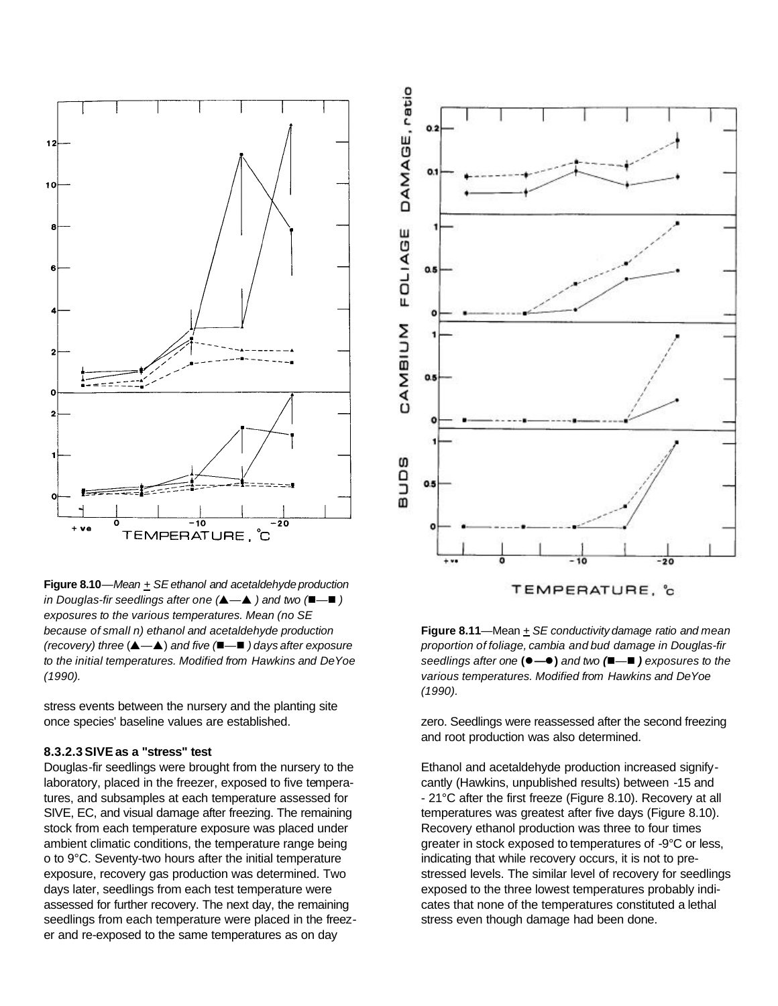

**Figure 8.10***—Mean + SEethanol and acetaldehyde production in Douglas-fir seedlings after one (p—p ) and two (*n*—*n *) exposures to the various temperatures. Mean (no SE because of small n) ethanol and acetaldehyde production (recovery) three* (*p—p*) *and five (*n*—*n *) days after exposure to the initial temperatures. Modified from Hawkins and DeYoe (1990).*

stress events between the nursery and the planting site once species' baseline values are established.

#### **8.3.2.3 SIVEas a "stress" test**

Douglas-fir seedlings were brought from the nursery to the laboratory, placed in the freezer, exposed to five temperatures, and subsamples at each temperature assessed for SIVE, EC, and visual damage after freezing. The remaining stock from each temperature exposure was placed under ambient climatic conditions, the temperature range being o to 9°C. Seventy-two hours after the initial temperature exposure, recovery gas production was determined. Two days later, seedlings from each test temperature were assessed for further recovery. The next day, the remaining seedlings from each temperature were placed in the freezer and re-exposed to the same temperatures as on day



**Figure 8.11**—Mean *+ SE conductivity damage ratio and mean proportion of foliage, cambia and bud damage in Douglas-fir seedlings after one* **(**l**—**l**)** *and two (*n*—*n *) exposures to the various temperatures. Modified from Hawkins and DeYoe (1990).*

zero. Seedlings were reassessed after the second freezing and root production was also determined.

Ethanol and acetaldehyde production increased signifycantly (Hawkins, unpublished results) between -15 and - 21°C after the first freeze (Figure 8.10). Recovery at all temperatures was greatest after five days (Figure 8.10). Recovery ethanol production was three to four times greater in stock exposed to temperatures of -9°C or less, indicating that while recovery occurs, it is not to prestressed levels. The similar level of recovery for seedlings exposed to the three lowest temperatures probably indicates that none of the temperatures constituted a lethal stress even though damage had been done.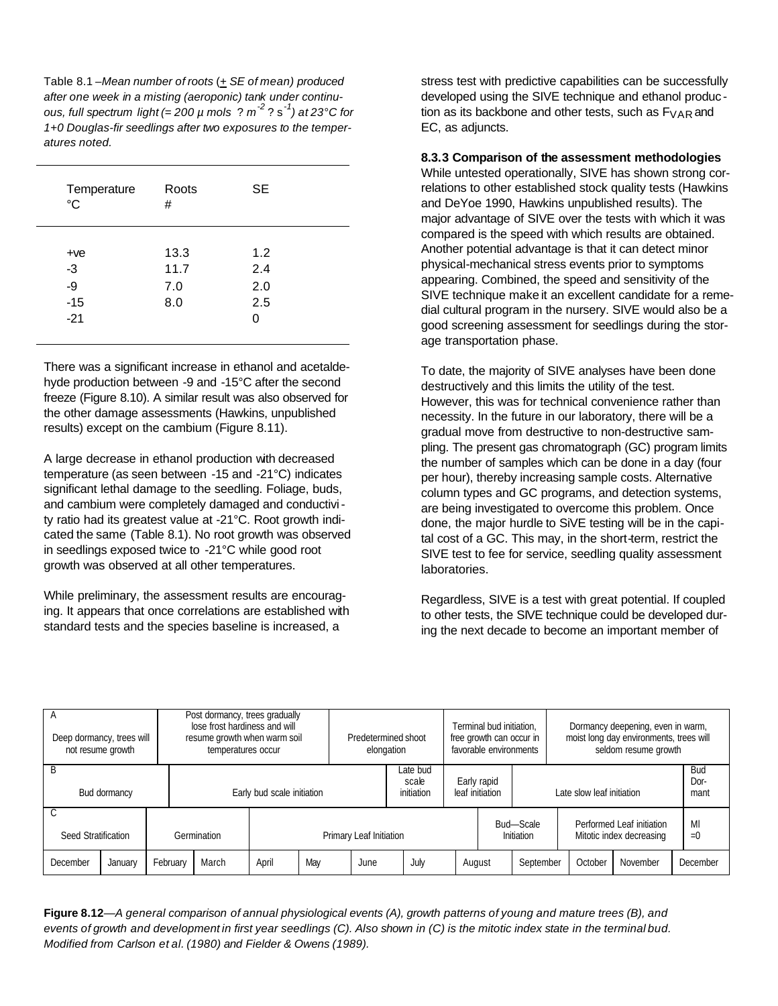Table 8.1 *–Mean number of roots* (+ *SE of mean) produced after one week in a misting (aeroponic) tank under continuous, full spectrum light (= 200 µ mols* ? *m -2* ? s-*<sup>1</sup> ) at 23°C for 1+0 Douglas-fir seedlings after two exposures to the temperatures noted.*

| Temperature<br>$\rm ^{\circ}C$ | Roots<br># |     |  |
|--------------------------------|------------|-----|--|
|                                |            |     |  |
| $+ve$                          | 13.3       | 1.2 |  |
| -3                             | 11.7       | 2.4 |  |
| -9                             | 7.0        | 2.0 |  |
| $-15$                          | 8.0        | 2.5 |  |
| $-21$                          |            | 0   |  |
|                                |            |     |  |

There was a significant increase in ethanol and acetaldehyde production between -9 and -15°C after the second freeze (Figure 8.10). A similar result was also observed for the other damage assessments (Hawkins, unpublished results) except on the cambium (Figure 8.11).

A large decrease in ethanol production with decreased temperature (as seen between -15 and -21°C) indicates significant lethal damage to the seedling. Foliage, buds, and cambium were completely damaged and conductivity ratio had its greatest value at -21°C. Root growth indicated the same (Table 8.1). No root growth was observed in seedlings exposed twice to -21°C while good root growth was observed at all other temperatures.

While preliminary, the assessment results are encouraging. It appears that once correlations are established with standard tests and the species baseline is increased, a

stress test with predictive capabilities can be successfully developed using the SIVE technique and ethanol produc tion as its backbone and other tests, such as  $F_{VAR}$  and EC, as adjuncts.

**8.3.3 Comparison of the assessment methodologies**

While untested operationally, SIVE has shown strong correlations to other established stock quality tests (Hawkins and DeYoe 1990, Hawkins unpublished results). The major advantage of SIVE over the tests with which it was compared is the speed with which results are obtained. Another potential advantage is that it can detect minor physical-mechanical stress events prior to symptoms appearing. Combined, the speed and sensitivity of the SIVE technique make it an excellent candidate for a remedial cultural program in the nursery. SIVE would also be a good screening assessment for seedlings during the storage transportation phase.

To date, the majority of SIVE analyses have been done destructively and this limits the utility of the test. However, this was for technical convenience rather than necessity. In the future in our laboratory, there will be a gradual move from destructive to non-destructive sampling. The present gas chromatograph (GC) program limits the number of samples which can be done in a day (four per hour), thereby increasing sample costs. Alternative column types and GC programs, and detection systems, are being investigated to overcome this problem. Once done, the major hurdle to SiVE testing will be in the capital cost of a GC. This may, in the short-term, restrict the SIVE test to fee for service, seedling quality assessment laboratories.

Regardless, SIVE is a test with great potential. If coupled to other tests, the SIVE technique could be developed during the next decade to become an important member of

|                     | Post dormancy, trees gradually<br>lose frost hardiness and will<br>Deep dormancy, trees will<br>resume growth when warm soil<br>not resume growth<br>temperatures occur |          |                            |                         | elongation | Predetermined shoot             | Terminal bud initiation.<br>free growth can occur in<br>favorable environments |        |  | Dormancy deepening, even in warm,<br>moist long day environments, trees will<br>seldom resume growth |                                                       |  |                            |  |             |
|---------------------|-------------------------------------------------------------------------------------------------------------------------------------------------------------------------|----------|----------------------------|-------------------------|------------|---------------------------------|--------------------------------------------------------------------------------|--------|--|------------------------------------------------------------------------------------------------------|-------------------------------------------------------|--|----------------------------|--|-------------|
| B<br>Bud dormancy   |                                                                                                                                                                         |          | Early bud scale initiation |                         |            | Late bud<br>scale<br>initiation | Early rapid<br>leaf initiation                                                 |        |  | Late slow leaf initiation                                                                            |                                                       |  | <b>Bud</b><br>Dor-<br>mant |  |             |
| Seed Stratification |                                                                                                                                                                         |          | Germination                | Primary Leaf Initiation |            |                                 |                                                                                |        |  | Bud-Scale<br>Initiation                                                                              | Performed Leaf initiation<br>Mitotic index decreasing |  |                            |  | MI<br>$= 0$ |
| December            | January                                                                                                                                                                 | February | March                      | April                   | May        | June                            | July                                                                           | August |  | September                                                                                            | October                                               |  | November                   |  | December    |

Figure 8.12—A general comparison of annual physiological events (A), growth patterns of young and mature trees (B), and events of growth and development in first year seedlings (C). Also shown in (C) is the mitotic index state in the terminal bud. *Modified from Carlson et al. (1980) and Fielder & Owens (1989).*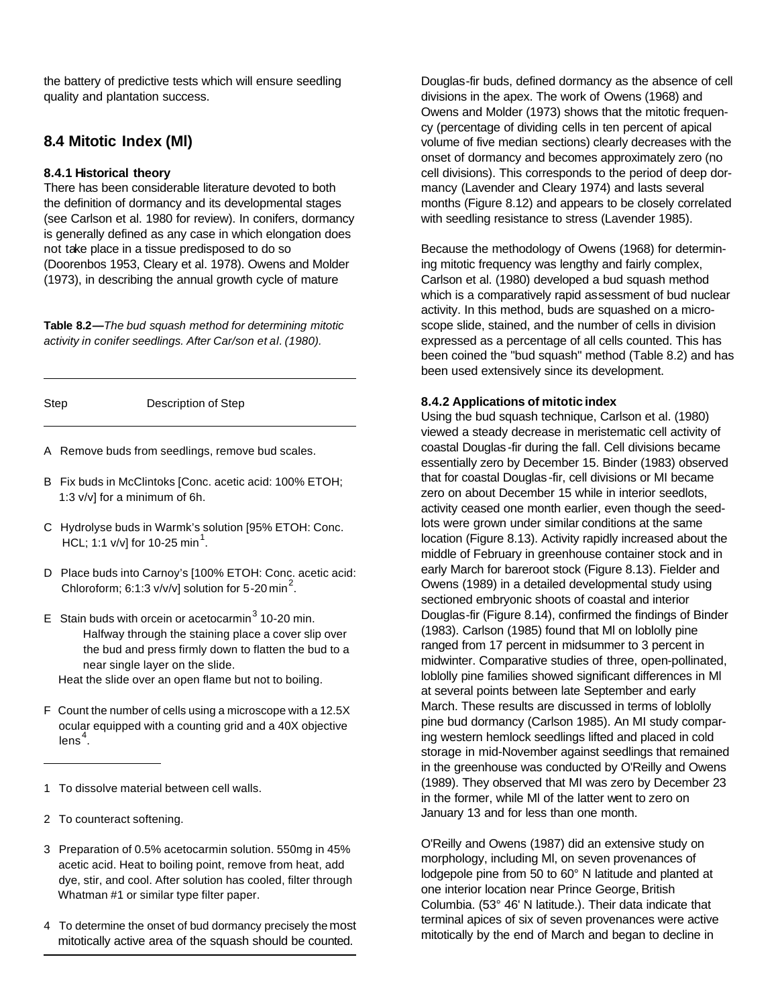the battery of predictive tests which will ensure seedling quality and plantation success.

### **8.4 Mitotic Index (Ml)**

### **8.4.1 Historical theory**

There has been considerable literature devoted to both the definition of dormancy and its developmental stages (see Carlson et al. 1980 for review). In conifers, dormancy is generally defined as any case in which elongation does not take place in a tissue predisposed to do so (Doorenbos 1953, Cleary et al. 1978). Owens and Molder (1973), in describing the annual growth cycle of mature

**Table 8.2***—The bud squash method for determining mitotic activity in conifer seedlings. After Car/son et al. (1980).*

| Step | Description of Step |  |
|------|---------------------|--|

- A Remove buds from seedlings, remove bud scales.
- B Fix buds in McClintoks [Conc. acetic acid: 100% ETOH; 1:3 v/v] for a minimum of 6h.
- C Hydrolyse buds in Warmk's solution [95% ETOH: Conc. HCL; 1:1 v/v] for 10-25 min<sup>1</sup>.
- D Place buds into Carnoy's [100% ETOH: Conc. acetic acid: Chloroform; 6:1:3 v/v/v] solution for 5-20 min<sup>2</sup>.
- E Stain buds with orcein or acetocarmin<sup>3</sup> 10-20 min. Halfway through the staining place a cover slip over the bud and press firmly down to flatten the bud to a near single layer on the slide.

Heat the slide over an open flame but not to boiling.

- F Count the number of cells using a microscope with a 12.5X ocular equipped with a counting grid and a 40X objective lens $^{\rm 4}$ .
- 1 To dissolve material between cell walls.
- 2 To counteract softening.
- 3 Preparation of 0.5% acetocarmin solution. 550mg in 45% acetic acid. Heat to boiling point, remove from heat, add dye, stir, and cool. After solution has cooled, filter through Whatman #1 or similar type filter paper.
- 4 To determine the onset of bud dormancy precisely the most mitotically active area of the squash should be counted.

Douglas-fir buds, defined dormancy as the absence of cell divisions in the apex. The work of Owens (1968) and Owens and Molder (1973) shows that the mitotic frequency (percentage of dividing cells in ten percent of apical volume of five median sections) clearly decreases with the onset of dormancy and becomes approximately zero (no cell divisions). This corresponds to the period of deep dormancy (Lavender and Cleary 1974) and lasts several months (Figure 8.12) and appears to be closely correlated with seedling resistance to stress (Lavender 1985).

Because the methodology of Owens (1968) for determining mitotic frequency was lengthy and fairly complex, Carlson et al. (1980) developed a bud squash method which is a comparatively rapid assessment of bud nuclear activity. In this method, buds are squashed on a microscope slide, stained, and the number of cells in division expressed as a percentage of all cells counted. This has been coined the "bud squash" method (Table 8.2) and has been used extensively since its development.

### **8.4.2 Applications of mitotic index**

Using the bud squash technique, Carlson et al. (1980) viewed a steady decrease in meristematic cell activity of coastal Douglas -fir during the fall. Cell divisions became essentially zero by December 15. Binder (1983) observed that for coastal Douglas -fir, cell divisions or MI became zero on about December 15 while in interior seedlots, activity ceased one month earlier, even though the seedlots were grown under similar conditions at the same location (Figure 8.13). Activity rapidly increased about the middle of February in greenhouse container stock and in early March for bareroot stock (Figure 8.13). Fielder and Owens (1989) in a detailed developmental study using sectioned embryonic shoots of coastal and interior Douglas-fir (Figure 8.14), confirmed the findings of Binder (1983). Carlson (1985) found that Ml on loblolly pine ranged from 17 percent in midsummer to 3 percent in midwinter. Comparative studies of three, open-pollinated, loblolly pine families showed significant differences in Ml at several points between late September and early March. These results are discussed in terms of loblolly pine bud dormancy (Carlson 1985). An MI study comparing western hemlock seedlings lifted and placed in cold storage in mid-November against seedlings that remained in the greenhouse was conducted by O'Reilly and Owens (1989). They observed that MI was zero by December 23 in the former, while Ml of the latter went to zero on January 13 and for less than one month.

O'Reilly and Owens (1987) did an extensive study on morphology, including Ml, on seven provenances of lodgepole pine from 50 to 60° N latitude and planted at one interior location near Prince George, British Columbia. (53° 46' N latitude.). Their data indicate that terminal apices of six of seven provenances were active mitotically by the end of March and began to decline in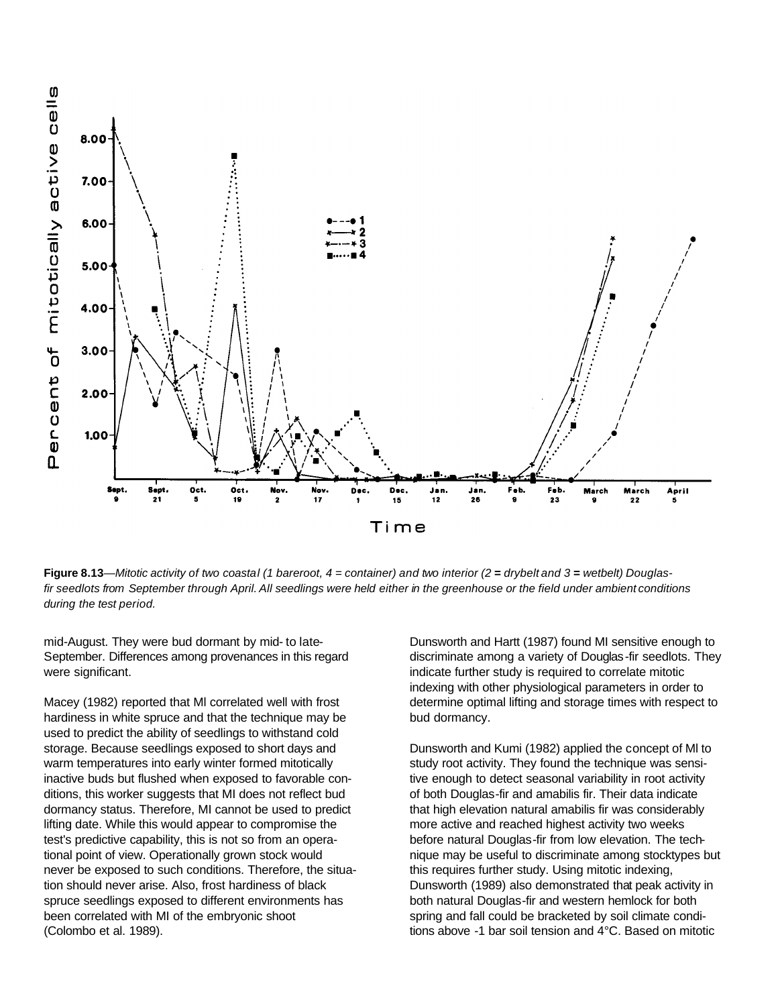

Figure 8.13—Mitotic activity of two coastal (1 bareroot,  $4 =$  container) and two interior (2 = drybelt and 3 = wetbelt) Douglasfir seedlots from September through April. All seedlings were held either in the greenhouse or the field under ambient conditions *during the test period.*

mid-August. They were bud dormant by mid- to late-September. Differences among provenances in this regard were significant.

Macey (1982) reported that Ml correlated well with frost hardiness in white spruce and that the technique may be used to predict the ability of seedlings to withstand cold storage. Because seedlings exposed to short days and warm temperatures into early winter formed mitotically inactive buds but flushed when exposed to favorable conditions, this worker suggests that MI does not reflect bud dormancy status. Therefore, MI cannot be used to predict lifting date. While this would appear to compromise the test's predictive capability, this is not so from an operational point of view. Operationally grown stock would never be exposed to such conditions. Therefore, the situation should never arise. Also, frost hardiness of black spruce seedlings exposed to different environments has been correlated with MI of the embryonic shoot (Colombo et al. 1989).

Dunsworth and Hartt (1987) found MI sensitive enough to discriminate among a variety of Douglas-fir seedlots. They indicate further study is required to correlate mitotic indexing with other physiological parameters in order to determine optimal lifting and storage times with respect to bud dormancy.

Dunsworth and Kumi (1982) applied the concept of Ml to study root activity. They found the technique was sensitive enough to detect seasonal variability in root activity of both Douglas-fir and amabilis fir. Their data indicate that high elevation natural amabilis fir was considerably more active and reached highest activity two weeks before natural Douglas-fir from low elevation. The technique may be useful to discriminate among stocktypes but this requires further study. Using mitotic indexing, Dunsworth (1989) also demonstrated that peak activity in both natural Douglas-fir and western hemlock for both spring and fall could be bracketed by soil climate conditions above -1 bar soil tension and 4°C. Based on mitotic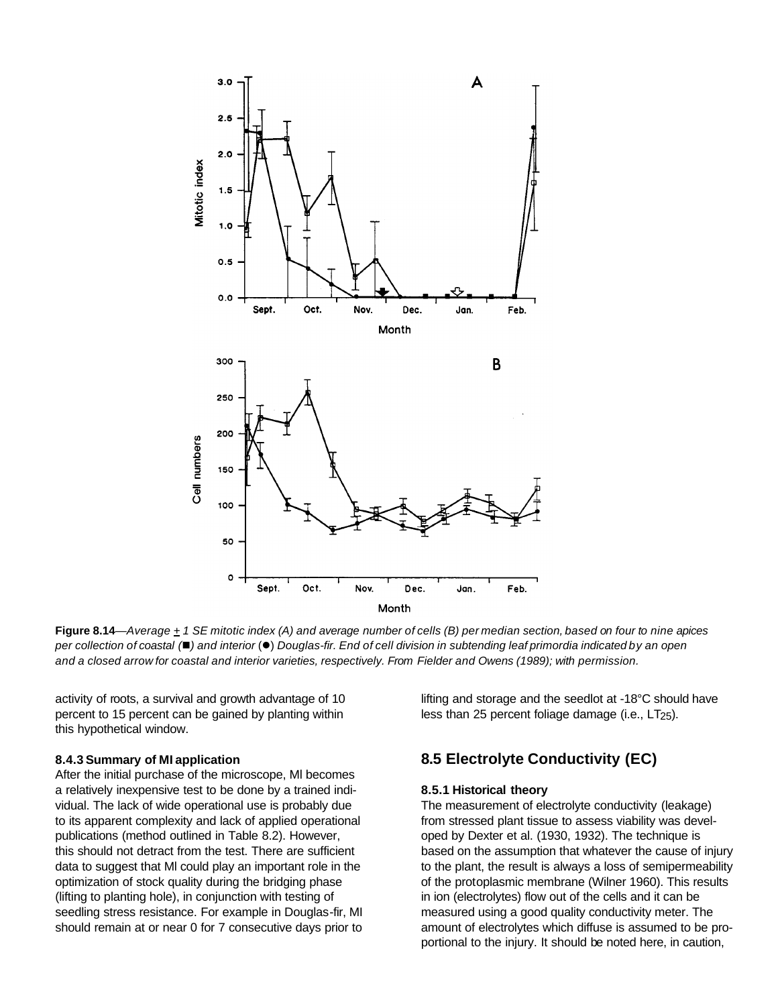

Figure 8.14—Average  $+1$  SE mitotic index (A) and average number of cells (B) per median section, based on four to nine apices per collection of coastal ( $\blacksquare$ ) and interior ( $\blacksquare$ ) Douglas-fir. End of cell division in subtending leaf primordia indicated by an open and a closed arrow for coastal and interior varieties, respectively. From Fielder and Owens (1989); with permission.

activity of roots, a survival and growth advantage of 10 percent to 15 percent can be gained by planting within this hypothetical window.

#### **8.4.3 Summary of MI application**

After the initial purchase of the microscope, Ml becomes a relatively inexpensive test to be done by a trained individual. The lack of wide operational use is probably due to its apparent complexity and lack of applied operational publications (method outlined in Table 8.2). However, this should not detract from the test. There are sufficient data to suggest that Ml could play an important role in the optimization of stock quality during the bridging phase (lifting to planting hole), in conjunction with testing of seedling stress resistance. For example in Douglas-fir, MI should remain at or near 0 for 7 consecutive days prior to lifting and storage and the seedlot at -18°C should have less than 25 percent foliage damage (i.e.,  $LT_{25}$ ).

### **8.5 Electrolyte Conductivity (EC)**

### **8.5.1 Historical theory**

The measurement of electrolyte conductivity (leakage) from stressed plant tissue to assess viability was developed by Dexter et al. (1930, 1932). The technique is based on the assumption that whatever the cause of injury to the plant, the result is always a loss of semipermeability of the protoplasmic membrane (Wilner 1960). This results in ion (electrolytes) flow out of the cells and it can be measured using a good quality conductivity meter. The amount of electrolytes which diffuse is assumed to be proportional to the injury. It should be noted here, in caution,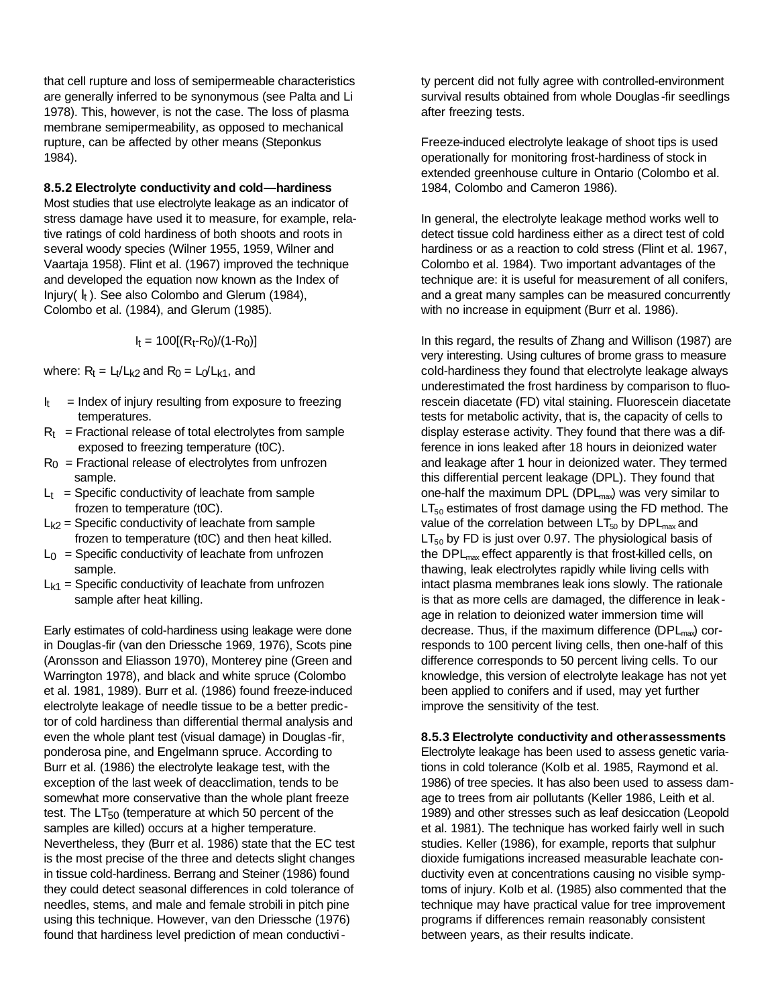that cell rupture and loss of semipermeable characteristics are generally inferred to be synonymous (see Palta and Li 1978). This, however, is not the case. The loss of plasma membrane semipermeability, as opposed to mechanical rupture, can be affected by other means (Steponkus 1984).

### **8.5.2 Electrolyte conductivity and cold—hardiness**

Most studies that use electrolyte leakage as an indicator of stress damage have used it to measure, for example, relative ratings of cold hardiness of both shoots and roots in several woody species (Wilner 1955, 1959, Wilner and Vaartaja 1958). Flint et al. (1967) improved the technique and developed the equation now known as the Index of Injury( $I_t$ ). See also Colombo and Glerum (1984), Colombo et al. (1984), and Glerum (1985).

 $I_t = 100[(R_t-R_0)/(1-R_0)]$ 

where:  $R_t = L_t/L_{k2}$  and  $R_0 = L_0/L_{k1}$ , and

- It = Index of injury resulting from exposure to freezing temperatures.
- $R_t$  = Fractional release of total electrolytes from sample exposed to freezing temperature (t0C).
- $R_0$  = Fractional release of electrolytes from unfrozen sample.
- $L_t$  = Specific conductivity of leachate from sample frozen to temperature (t0C).
- $L_{k2}$  = Specific conductivity of leachate from sample frozen to temperature (t0C) and then heat killed.
- $L_0$  = Specific conductivity of leachate from unfrozen sample.
- $L_{k1}$  = Specific conductivity of leachate from unfrozen sample after heat killing.

Early estimates of cold-hardiness using leakage were done in Douglas-fir (van den Driessche 1969, 1976), Scots pine (Aronsson and Eliasson 1970), Monterey pine (Green and Warrington 1978), and black and white spruce (Colombo et al. 1981, 1989). Burr et al. (1986) found freeze-induced electrolyte leakage of needle tissue to be a better predictor of cold hardiness than differential thermal analysis and even the whole plant test (visual damage) in Douglas -fir, ponderosa pine, and Engelmann spruce. According to Burr et al. (1986) the electrolyte leakage test, with the exception of the last week of deacclimation, tends to be somewhat more conservative than the whole plant freeze test. The  $LT_{50}$  (temperature at which 50 percent of the samples are killed) occurs at a higher temperature. Nevertheless, they (Burr et al. 1986) state that the EC test is the most precise of the three and detects slight changes in tissue cold-hardiness. Berrang and Steiner (1986) found they could detect seasonal differences in cold tolerance of needles, stems, and male and female strobili in pitch pine using this technique. However, van den Driessche (1976) found that hardiness level prediction of mean conductivity percent did not fully agree with controlled-environment survival results obtained from whole Douglas -fir seedlings after freezing tests.

Freeze-induced electrolyte leakage of shoot tips is used operationally for monitoring frost-hardiness of stock in extended greenhouse culture in Ontario (Colombo et al. 1984, Colombo and Cameron 1986).

In general, the electrolyte leakage method works well to detect tissue cold hardiness either as a direct test of cold hardiness or as a reaction to cold stress (Flint et al. 1967, Colombo et al. 1984). Two important advantages of the technique are: it is useful for measurement of all conifers, and a great many samples can be measured concurrently with no increase in equipment (Burr et al. 1986).

In this regard, the results of Zhang and Willison (1987) are very interesting. Using cultures of brome grass to measure cold-hardiness they found that electrolyte leakage always underestimated the frost hardiness by comparison to fluorescein diacetate (FD) vital staining. Fluorescein diacetate tests for metabolic activity, that is, the capacity of cells to display esterase activity. They found that there was a difference in ions leaked after 18 hours in deionized water and leakage after 1 hour in deionized water. They termed this differential percent leakage (DPL). They found that one-half the maximum DPL (DPL $_{max}$ ) was very similar to  $LT_{50}$  estimates of frost damage using the FD method. The value of the correlation between  $LT_{50}$  by  $DPL_{max}$  and  $LT_{50}$  by FD is just over 0.97. The physiological basis of the DPL<sub>max</sub> effect apparently is that frost-killed cells, on thawing, leak electrolytes rapidly while living cells with intact plasma membranes leak ions slowly. The rationale is that as more cells are damaged, the difference in leak age in relation to deionized water immersion time will decrease. Thus, if the maximum difference  $(DPL<sub>max</sub>)$  corresponds to 100 percent living cells, then one-half of this difference corresponds to 50 percent living cells. To our knowledge, this version of electrolyte leakage has not yet been applied to conifers and if used, may yet further improve the sensitivity of the test.

### **8.5.3 Electrolyte conductivity and otherassessments**

Electrolyte leakage has been used to assess genetic variations in cold tolerance (KoIb et al. 1985, Raymond et al. 1986) of tree species. It has also been used to assess damage to trees from air pollutants (Keller 1986, Leith et al. 1989) and other stresses such as leaf desiccation (Leopold et al. 1981). The technique has worked fairly well in such studies. Keller (1986), for example, reports that sulphur dioxide fumigations increased measurable leachate conductivity even at concentrations causing no visible symptoms of injury. KoIb et al. (1985) also commented that the technique may have practical value for tree improvement programs if differences remain reasonably consistent between years, as their results indicate.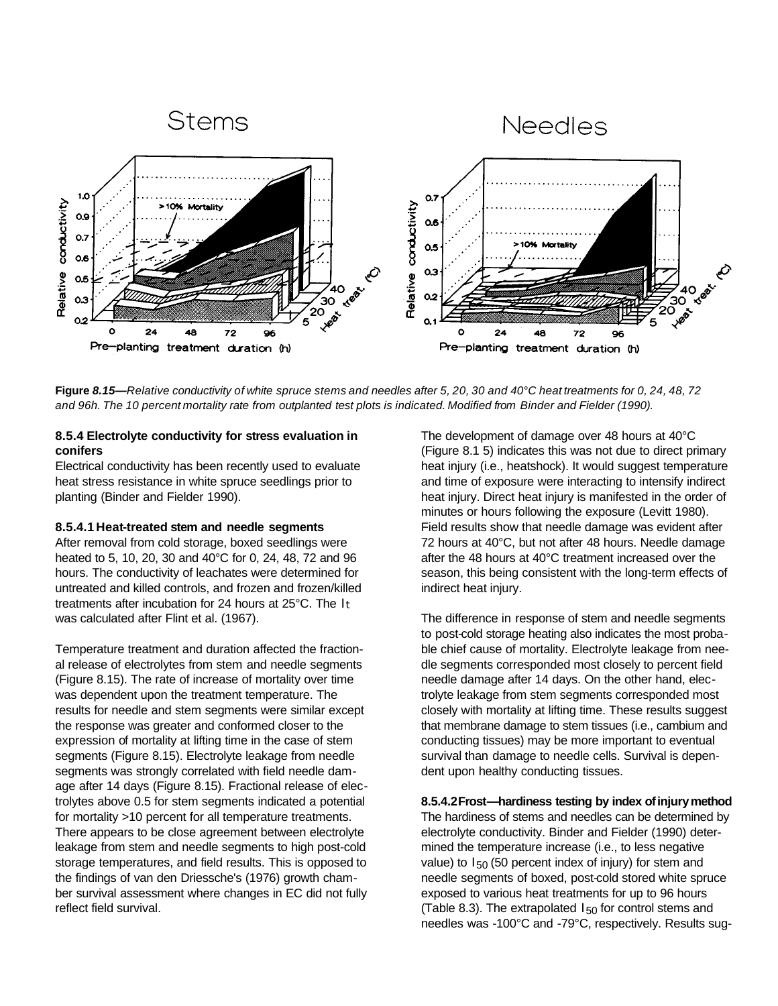

Figure 8.15—Relative conductivity of white spruce stems and needles after 5, 20, 30 and 40°C heat treatments for 0, 24, 48, 72 and 96h. The 10 percent mortality rate from outplanted test plots is indicated. Modified from Binder and Fielder (1990).

### **8.5.4 Electrolyte conductivity for stress evaluation in conifers**

Electrical conductivity has been recently used to evaluate heat stress resistance in white spruce seedlings prior to planting (Binder and Fielder 1990).

### **8.5.4.1 Heat-treated stem and needle segments**

After removal from cold storage, boxed seedlings were heated to 5, 10, 20, 30 and 40°C for 0, 24, 48, 72 and 96 hours. The conductivity of leachates were determined for untreated and killed controls, and frozen and frozen/killed treatments after incubation for 24 hours at 25°C. The It was calculated after Flint et al. (1967).

Temperature treatment and duration affected the fractional release of electrolytes from stem and needle segments (Figure 8.15). The rate of increase of mortality over time was dependent upon the treatment temperature. The results for needle and stem segments were similar except the response was greater and conformed closer to the expression of mortality at lifting time in the case of stem segments (Figure 8.15). Electrolyte leakage from needle segments was strongly correlated with field needle damage after 14 days (Figure 8.15). Fractional release of electrolytes above 0.5 for stem segments indicated a potential for mortality >10 percent for all temperature treatments. There appears to be close agreement between electrolyte leakage from stem and needle segments to high post-cold storage temperatures, and field results. This is opposed to the findings of van den Driessche's (1976) growth chamber survival assessment where changes in EC did not fully reflect field survival.

The development of damage over 48 hours at 40°C (Figure 8.1 5) indicates this was not due to direct primary heat injury (i.e., heatshock). It would suggest temperature and time of exposure were interacting to intensify indirect heat injury. Direct heat injury is manifested in the order of minutes or hours following the exposure (Levitt 1980). Field results show that needle damage was evident after 72 hours at 40°C, but not after 48 hours. Needle damage after the 48 hours at 40°C treatment increased over the season, this being consistent with the long-term effects of indirect heat injury.

The difference in response of stem and needle segments to post-cold storage heating also indicates the most probable chief cause of mortality. Electrolyte leakage from needle segments corresponded most closely to percent field needle damage after 14 days. On the other hand, electrolyte leakage from stem segments corresponded most closely with mortality at lifting time. These results suggest that membrane damage to stem tissues (i.e., cambium and conducting tissues) may be more important to eventual survival than damage to needle cells. Survival is dependent upon healthy conducting tissues.

**8.5.4.2Frost—hardiness testing by index ofinjurymethod** The hardiness of stems and needles can be determined by electrolyte conductivity. Binder and Fielder (1990) determined the temperature increase (i.e., to less negative value) to  $I_{50}$  (50 percent index of injury) for stem and needle segments of boxed, post-cold stored white spruce exposed to various heat treatments for up to 96 hours (Table 8.3). The extrapolated  $I_{50}$  for control stems and needles was -100°C and -79°C, respectively. Results sug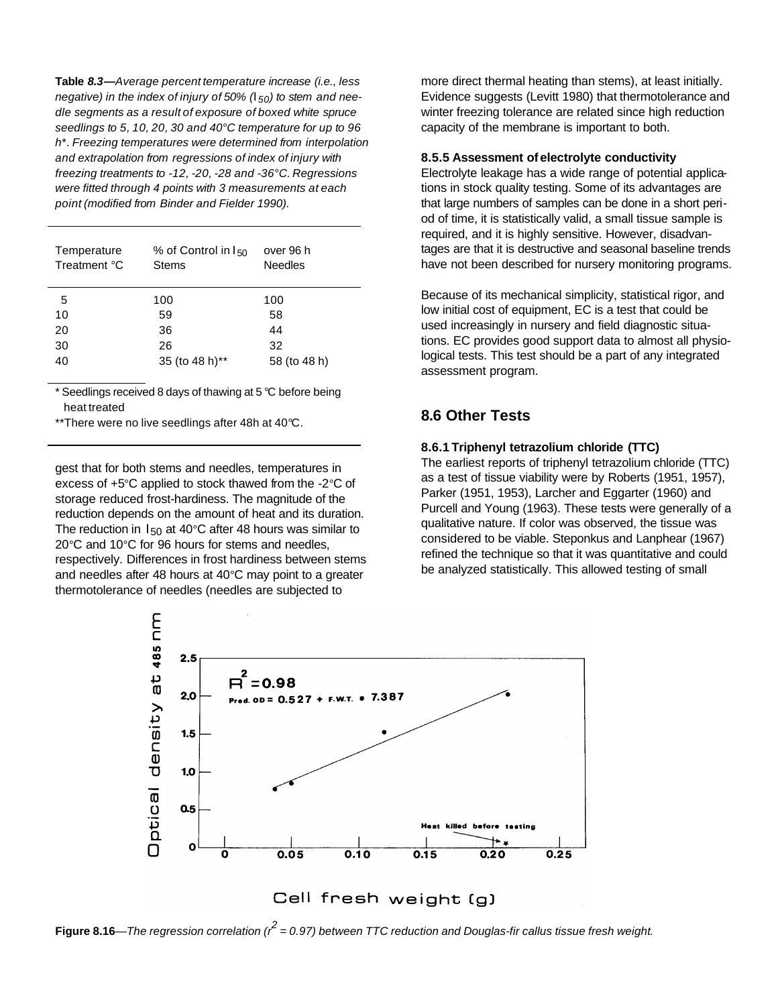**Table** *8.3—Average percent temperature increase (i.e., less negative) in the index of injury of 50% (I50) to stem and needle segments as a result of exposure of boxed white spruce seedlings to 5, 10, 20, 30 and 40°C temperature for up to 96 h*\*. *Freezing temperatures were determined from interpolation and extrapolation from regressions of index of injury with freezing treatments to -12, -20, -28 and -36°C. Regressions were fitted through 4 points with 3 measurements at each point (modified from Binder and Fielder 1990).*

| Temperature<br>Treatment °C | % of Control in $I_{50}$<br><b>Stems</b> | over 96 h<br><b>Needles</b> |
|-----------------------------|------------------------------------------|-----------------------------|
| 5                           | 100                                      | 100                         |
| 10                          | 59                                       | 58                          |
| 20                          | 36                                       | 44                          |
| 30                          | 26                                       | 32                          |
| 40                          | 35 (to 48 h)**                           | 58 (to 48 h)                |

\* Seedlings received 8 days of thawing at 5 *°*C before being heat treated

\*\*There were no live seedlings after 48h at 40*°*C.

gest that for both stems and needles, temperatures in excess of +5*°*C applied to stock thawed from the -2*°*C of storage reduced frost-hardiness. The magnitude of the reduction depends on the amount of heat and its duration. The reduction in I50 at 40*°*C after 48 hours was similar to 20*°*C and 10*°*C for 96 hours for stems and needles, respectively. Differences in frost hardiness between stems and needles after 48 hours at 40*°*C may point to a greater thermotolerance of needles (needles are subjected to

more direct thermal heating than stems), at least initially. Evidence suggests (Levitt 1980) that thermotolerance and winter freezing tolerance are related since high reduction capacity of the membrane is important to both.

#### **8.5.5 Assessment of electrolyte conductivity**

Electrolyte leakage has a wide range of potential applications in stock quality testing. Some of its advantages are that large numbers of samples can be done in a short period of time, it is statistically valid, a small tissue sample is required, and it is highly sensitive. However, disadvantages are that it is destructive and seasonal baseline trends have not been described for nursery monitoring programs.

Because of its mechanical simplicity, statistical rigor, and low initial cost of equipment, EC is a test that could be used increasingly in nursery and field diagnostic situations. EC provides good support data to almost all physiological tests. This test should be a part of any integrated assessment program.

### **8.6 Other Tests**

#### **8.6.1 Triphenyl tetrazolium chloride (TTC)**

The earliest reports of triphenyl tetrazolium chloride (TTC) as a test of tissue viability were by Roberts (1951, 1957), Parker (1951, 1953), Larcher and Eggarter (1960) and Purcell and Young (1963). These tests were generally of a qualitative nature. If color was observed, the tissue was considered to be viable. Steponkus and Lanphear (1967) refined the technique so that it was quantitative and could be analyzed statistically. This allowed testing of small



**Figure 8.16**—*The regression correlation (r<sup>2</sup> = 0.97) between TTC reduction and Douglas-fir callus tissue fresh weight*.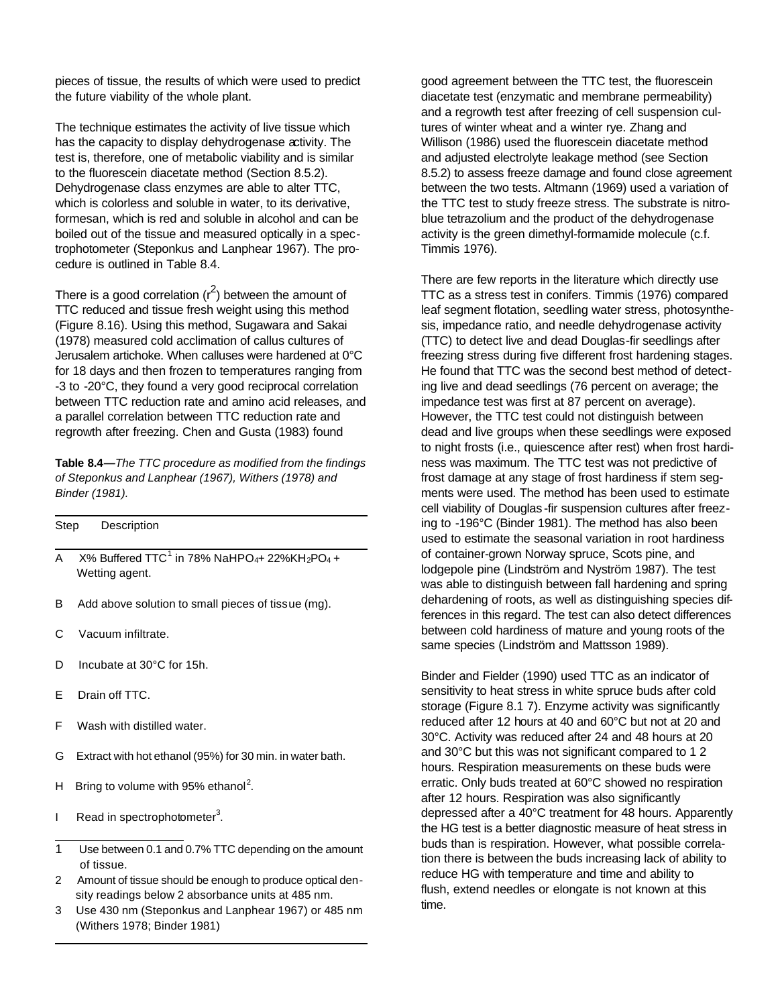pieces of tissue, the results of which were used to predict the future viability of the whole plant.

The technique estimates the activity of live tissue which has the capacity to display dehydrogenase activity. The test is, therefore, one of metabolic viability and is similar to the fluorescein diacetate method (Section 8.5.2). Dehydrogenase class enzymes are able to alter TTC, which is colorless and soluble in water, to its derivative, formesan, which is red and soluble in alcohol and can be boiled out of the tissue and measured optically in a spectrophotometer (Steponkus and Lanphear 1967). The procedure is outlined in Table 8.4.

There is a good correlation  $(r^2)$  between the amount of TTC reduced and tissue fresh weight using this method (Figure 8.16). Using this method, Sugawara and Sakai (1978) measured cold acclimation of callus cultures of Jerusalem artichoke. When calluses were hardened at 0°C for 18 days and then frozen to temperatures ranging from -3 to -20°C, they found a very good reciprocal correlation between TTC reduction rate and amino acid releases, and a parallel correlation between TTC reduction rate and regrowth after freezing. Chen and Gusta (1983) found

**Table 8.4***—The TTC procedure as modified from the findings of Steponkus and Lanphear (1967), Withers (1978) and Binder (1981).*

| Step | Description                                                                                                        |
|------|--------------------------------------------------------------------------------------------------------------------|
| A    | $X\%$ Buffered TTC <sup>1</sup> in 78% NaHPO <sub>4</sub> + 22%KH <sub>2</sub> PO <sub>4</sub> +<br>Wetting agent. |
| B    | Add above solution to small pieces of tissue (mg).                                                                 |
| C    | Vacuum infiltrate.                                                                                                 |

- D Incubate at 30°C for 15h.
- E Drain off TTC.
- F Wash with distilled water.
- G Extract with hot ethanol (95%) for 30 min. in water bath.
- H Bring to volume with 95% ethanol<sup>2</sup>.
- I Read in spectrophotometer<sup>3</sup>.

- 2 Amount of tissue should be enough to produce optical den sity readings below 2 absorbance units at 485 nm.
- 3 Use 430 nm (Steponkus and Lanphear 1967) or 485 nm (Withers 1978; Binder 1981)

good agreement between the TTC test, the fluorescein diacetate test (enzymatic and membrane permeability) and a regrowth test after freezing of cell suspension cultures of winter wheat and a winter rye. Zhang and Willison (1986) used the fluorescein diacetate method and adjusted electrolyte leakage method (see Section 8.5.2) to assess freeze damage and found close agreement between the two tests. Altmann (1969) used a variation of the TTC test to study freeze stress. The substrate is nitroblue tetrazolium and the product of the dehydrogenase activity is the green dimethyl-formamide molecule (c.f. Timmis 1976).

There are few reports in the literature which directly use TTC as a stress test in conifers. Timmis (1976) compared leaf segment flotation, seedling water stress, photosynthesis, impedance ratio, and needle dehydrogenase activity (TTC) to detect live and dead Douglas-fir seedlings after freezing stress during five different frost hardening stages. He found that TTC was the second best method of detecting live and dead seedlings (76 percent on average; the impedance test was first at 87 percent on average). However, the TTC test could not distinguish between dead and live groups when these seedlings were exposed to night frosts (i.e., quiescence after rest) when frost hardiness was maximum. The TTC test was not predictive of frost damage at any stage of frost hardiness if stem segments were used. The method has been used to estimate cell viability of Douglas -fir suspension cultures after freezing to -196°C (Binder 1981). The method has also been used to estimate the seasonal variation in root hardiness of container-grown Norway spruce, Scots pine, and lodgepole pine (Lindström and Nyström 1987). The test was able to distinguish between fall hardening and spring dehardening of roots, as well as distinguishing species differences in this regard. The test can also detect differences between cold hardiness of mature and young roots of the same species (Lindström and Mattsson 1989).

Binder and Fielder (1990) used TTC as an indicator of sensitivity to heat stress in white spruce buds after cold storage (Figure 8.1 7). Enzyme activity was significantly reduced after 12 hours at 40 and 60°C but not at 20 and 30°C. Activity was reduced after 24 and 48 hours at 20 and 30°C but this was not significant compared to 1 2 hours. Respiration measurements on these buds were erratic. Only buds treated at 60°C showed no respiration after 12 hours. Respiration was also significantly depressed after a 40°C treatment for 48 hours. Apparently the HG test is a better diagnostic measure of heat stress in buds than is respiration. However, what possible correlation there is between the buds increasing lack of ability to reduce HG with temperature and time and ability to flush, extend needles or elongate is not known at this time.

<sup>1</sup> Use between 0.1 and 0.7% TTC depending on the amount of tissue.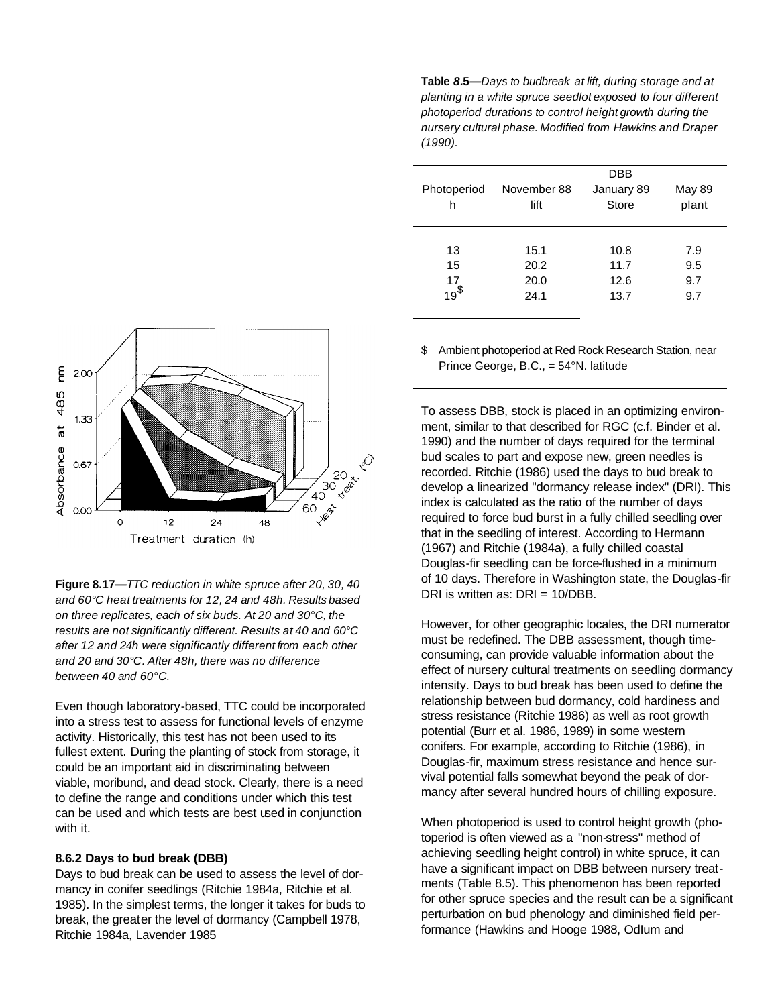**Table** *8.***5***—Days to budbreak at lift, during storage and at planting in a white spruce seedlot exposed to four different photoperiod durations to control height growth during the nursery cultural phase. Modified from Hawkins and Draper (1990).*

| Photoperiod<br>h   | November 88<br>lift | DBB<br>January 89<br>Store | <b>May 89</b><br>plant |  |  |
|--------------------|---------------------|----------------------------|------------------------|--|--|
|                    |                     |                            |                        |  |  |
| 13                 | 15.1                | 10.8                       | 7.9                    |  |  |
| 15                 | 20.2                | 11.7                       | 9.5                    |  |  |
| $\frac{17}{19}$ \$ | 20.0                | 12.6                       | 9.7                    |  |  |
|                    | 24.1                | 13.7                       | 9.7                    |  |  |
|                    |                     |                            |                        |  |  |

\$ Ambient photoperiod at Red Rock Research Station, near Prince George, B.C., = 54°N. latitude

To assess DBB, stock is placed in an optimizing environment, similar to that described for RGC (c.f. Binder et al. 1990) and the number of days required for the terminal bud scales to part and expose new, green needles is recorded. Ritchie (1986) used the days to bud break to develop a linearized "dormancy release index" (DRI). This index is calculated as the ratio of the number of days required to force bud burst in a fully chilled seedling over that in the seedling of interest. According to Hermann (1967) and Ritchie (1984a), a fully chilled coastal Douglas-fir seedling can be force-flushed in a minimum of 10 days. Therefore in Washington state, the Douglas-fir DRI is written as: DRI = 10/DBB.

However, for other geographic locales, the DRI numerator must be redefined. The DBB assessment, though timeconsuming, can provide valuable information about the effect of nursery cultural treatments on seedling dormancy intensity. Days to bud break has been used to define the relationship between bud dormancy, cold hardiness and stress resistance (Ritchie 1986) as well as root growth potential (Burr et al. 1986, 1989) in some western conifers. For example, according to Ritchie (1986), in Douglas-fir, maximum stress resistance and hence survival potential falls somewhat beyond the peak of dormancy after several hundred hours of chilling exposure.

When photoperiod is used to control height growth (photoperiod is often viewed as a "non-stress" method of achieving seedling height control) in white spruce, it can have a significant impact on DBB between nursery treatments (Table 8.5). This phenomenon has been reported for other spruce species and the result can be a significant perturbation on bud phenology and diminished field performance (Hawkins and Hooge 1988, OdIum and



**Figure 8.17***—TTC reduction in white spruce after 20, 30, 40 and 60°C heat treatments for 12, 24 and 48h. Results based on three replicates, each of six buds. At 20 and 30°C, the results are not significantly different. Results at 40 and 60°C after 12 and 24h were significantly different from each other and 20 and 30°C. After 48h, there was no difference between 40 and 60°C.*

Even though laboratory-based, TTC could be incorporated into a stress test to assess for functional levels of enzyme activity. Historically, this test has not been used to its fullest extent. During the planting of stock from storage, it could be an important aid in discriminating between viable, moribund, and dead stock. Clearly, there is a need to define the range and conditions under which this test can be used and which tests are best used in conjunction with it.

### **8.6.2 Days to bud break (DBB)**

Days to bud break can be used to assess the level of dormancy in conifer seedlings (Ritchie 1984a, Ritchie et al. 1985). In the simplest terms, the longer it takes for buds to break, the greater the level of dormancy (Campbell 1978, Ritchie 1984a, Lavender 1985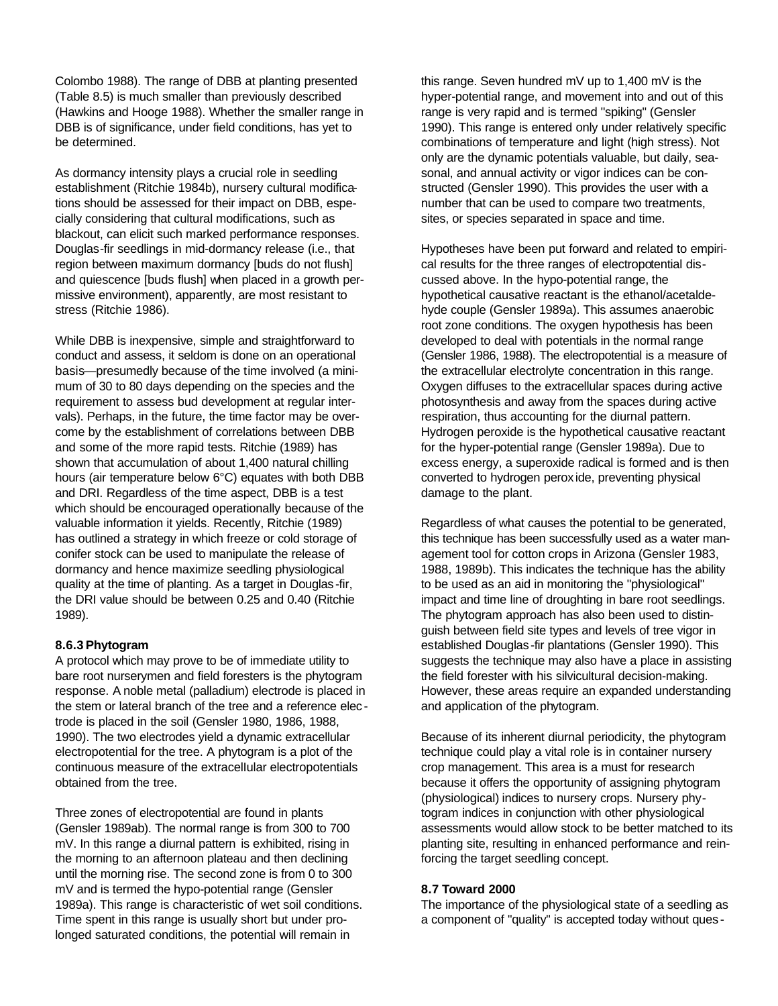Colombo 1988). The range of DBB at planting presented (Table 8.5) is much smaller than previously described (Hawkins and Hooge 1988). Whether the smaller range in DBB is of significance, under field conditions, has yet to be determined.

As dormancy intensity plays a crucial role in seedling establishment (Ritchie 1984b), nursery cultural modifications should be assessed for their impact on DBB, especially considering that cultural modifications, such as blackout, can elicit such marked performance responses. Douglas-fir seedlings in mid-dormancy release (i.e., that region between maximum dormancy [buds do not flush] and quiescence [buds flush] when placed in a growth permissive environment), apparently, are most resistant to stress (Ritchie 1986).

While DBB is inexpensive, simple and straightforward to conduct and assess, it seldom is done on an operational basis—presumedly because of the time involved (a minimum of 30 to 80 days depending on the species and the requirement to assess bud development at regular intervals). Perhaps, in the future, the time factor may be overcome by the establishment of correlations between DBB and some of the more rapid tests. Ritchie (1989) has shown that accumulation of about 1,400 natural chilling hours (air temperature below 6°C) equates with both DBB and DRI. Regardless of the time aspect, DBB is a test which should be encouraged operationally because of the valuable information it yields. Recently, Ritchie (1989) has outlined a strategy in which freeze or cold storage of conifer stock can be used to manipulate the release of dormancy and hence maximize seedling physiological quality at the time of planting. As a target in Douglas -fir, the DRI value should be between 0.25 and 0.40 (Ritchie 1989).

#### **8.6.3 Phytogram**

A protocol which may prove to be of immediate utility to bare root nurserymen and field foresters is the phytogram response. A noble metal (palladium) electrode is placed in the stem or lateral branch of the tree and a reference elec trode is placed in the soil (Gensler 1980, 1986, 1988, 1990). The two electrodes yield a dynamic extracellular electropotential for the tree. A phytogram is a plot of the continuous measure of the extracelIular electropotentials obtained from the tree.

Three zones of electropotential are found in plants (Gensler 1989ab). The normal range is from 300 to 700 mV. In this range a diurnal pattern is exhibited, rising in the morning to an afternoon plateau and then declining until the morning rise. The second zone is from 0 to 300 mV and is termed the hypo-potential range (Gensler 1989a). This range is characteristic of wet soil conditions. Time spent in this range is usually short but under prolonged saturated conditions, the potential will remain in

this range. Seven hundred mV up to 1,400 mV is the hyper-potential range, and movement into and out of this range is very rapid and is termed "spiking" (Gensler 1990). This range is entered only under relatively specific combinations of temperature and light (high stress). Not only are the dynamic potentials valuable, but daily, seasonal, and annual activity or vigor indices can be constructed (Gensler 1990). This provides the user with a number that can be used to compare two treatments, sites, or species separated in space and time.

Hypotheses have been put forward and related to empirical results for the three ranges of electropotential discussed above. In the hypo-potential range, the hypothetical causative reactant is the ethanol/acetaldehyde couple (Gensler 1989a). This assumes anaerobic root zone conditions. The oxygen hypothesis has been developed to deal with potentials in the normal range (Gensler 1986, 1988). The electropotential is a measure of the extracellular electrolyte concentration in this range. Oxygen diffuses to the extracellular spaces during active photosynthesis and away from the spaces during active respiration, thus accounting for the diurnal pattern. Hydrogen peroxide is the hypothetical causative reactant for the hyper-potential range (Gensler 1989a). Due to excess energy, a superoxide radical is formed and is then converted to hydrogen perox ide, preventing physical damage to the plant.

Regardless of what causes the potential to be generated, this technique has been successfully used as a water management tool for cotton crops in Arizona (Gensler 1983, 1988, 1989b). This indicates the technique has the ability to be used as an aid in monitoring the "physiological" impact and time line of droughting in bare root seedlings. The phytogram approach has also been used to distinguish between field site types and levels of tree vigor in established Douglas -fir plantations (Gensler 1990). This suggests the technique may also have a place in assisting the field forester with his silvicultural decision-making. However, these areas require an expanded understanding and application of the phytogram.

Because of its inherent diurnal periodicity, the phytogram technique could play a vital role is in container nursery crop management. This area is a must for research because it offers the opportunity of assigning phytogram (physiological) indices to nursery crops. Nursery phytogram indices in conjunction with other physiological assessments would allow stock to be better matched to its planting site, resulting in enhanced performance and reinforcing the target seedling concept.

### **8.7 Toward 2000**

The importance of the physiological state of a seedling as a component of "quality" is accepted today without ques -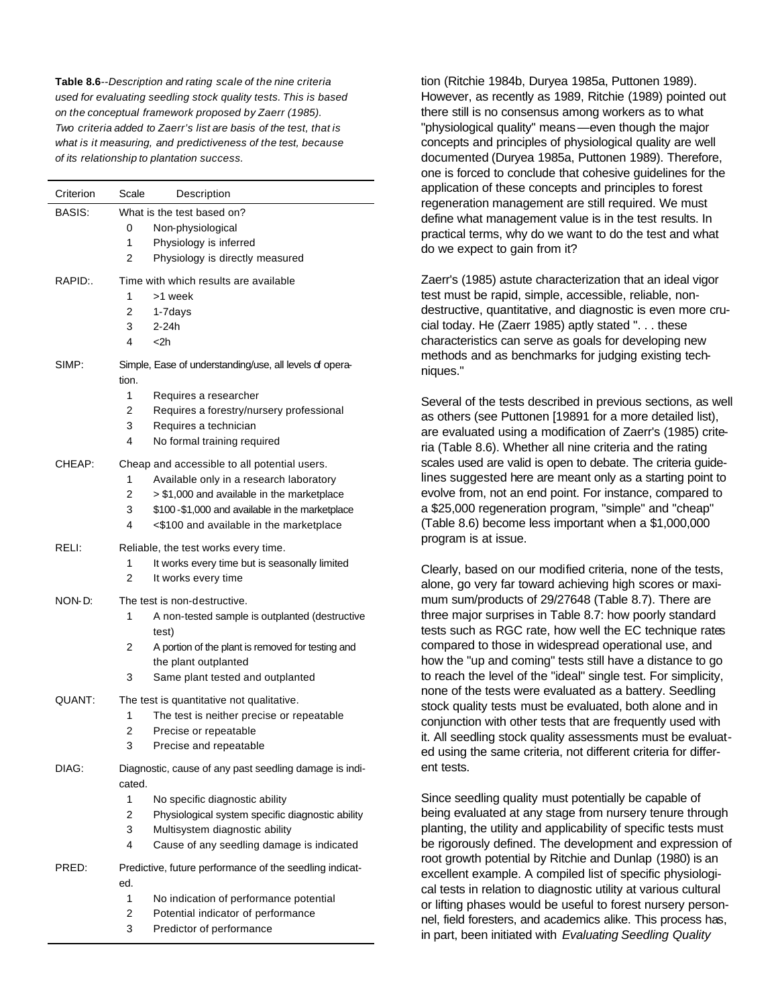**Table 8.6***--Description and rating scale of the nine criteria used for evaluating seedling stock quality tests. This is based on the conceptual framework proposed by Zaerr (1985). Two criteria added to Zaerr's list are basis of the test, that is what is it measuring, and predictiveness of the test, because of its relationship to plantation success.*

| Criterion | Scale<br>Description                                    |
|-----------|---------------------------------------------------------|
| BASIS:    | What is the test based on?                              |
|           | 0<br>Non-physiological                                  |
|           | 1<br>Physiology is inferred                             |
|           | 2<br>Physiology is directly measured                    |
| RAPID:.   | Time with which results are available                   |
|           | 1<br>>1 week                                            |
|           | 2<br>1-7days                                            |
|           | 3<br>$2 - 24h$                                          |
|           | 4<br>$<$ 2h                                             |
| SIMP:     | Simple, Ease of understanding/use, all levels of opera- |
|           | tion.                                                   |
|           | 1<br>Requires a researcher                              |
|           | 2<br>Requires a forestry/nursery professional           |
|           | 3<br>Requires a technician                              |
|           | 4<br>No formal training required                        |
| CHEAP:    | Cheap and accessible to all potential users.            |
|           | 1<br>Available only in a research laboratory            |
|           | 2<br>> \$1,000 and available in the marketplace         |
|           | 3<br>\$100-\$1,000 and available in the marketplace     |
|           | 4<br><\$100 and available in the marketplace            |
| RELI:     | Reliable, the test works every time.                    |
|           | 1<br>It works every time but is seasonally limited      |
|           | 2<br>It works every time                                |
| NON-D:    | The test is non-destructive.                            |
|           | 1<br>A non-tested sample is outplanted (destructive     |
|           | test)                                                   |
|           | 2<br>A portion of the plant is removed for testing and  |
|           | the plant outplanted                                    |
|           | 3<br>Same plant tested and outplanted                   |
| QUANT:    | The test is quantitative not qualitative.               |
|           | 1<br>The test is neither precise or repeatable          |
|           | 2<br>Precise or repeatable                              |
|           | 3<br>Precise and repeatable                             |
| DIAG:     | Diagnostic, cause of any past seedling damage is indi-  |
|           | cated.                                                  |
|           | 1<br>No specific diagnostic ability                     |
|           | 2<br>Physiological system specific diagnostic ability   |
|           | 3<br>Multisystem diagnostic ability                     |
|           | 4<br>Cause of any seedling damage is indicated          |
| PRED:     | Predictive, future performance of the seedling indicat- |
|           | ed.                                                     |
|           | 1<br>No indication of performance potential             |
|           | 2<br>Potential indicator of performance                 |
|           | 3<br>Predictor of performance                           |

tion (Ritchie 1984b, Duryea 1985a, Puttonen 1989). However, as recently as 1989, Ritchie (1989) pointed out there still is no consensus among workers as to what "physiological quality" means—even though the major concepts and principles of physiological quality are well documented (Duryea 1985a, Puttonen 1989). Therefore, one is forced to conclude that cohesive guidelines for the application of these concepts and principles to forest regeneration management are still required. We must define what management value is in the test results. In practical terms, why do we want to do the test and what do we expect to gain from it?

Zaerr's (1985) astute characterization that an ideal vigor test must be rapid, simple, accessible, reliable, nondestructive, quantitative, and diagnostic is even more crucial today. He (Zaerr 1985) aptly stated ". . . these characteristics can serve as goals for developing new methods and as benchmarks for judging existing techniques."

Several of the tests described in previous sections, as well as others (see Puttonen [19891 for a more detailed list), are evaluated using a modification of Zaerr's (1985) criteria (Table 8.6). Whether all nine criteria and the rating scales used are valid is open to debate. The criteria guidelines suggested here are meant only as a starting point to evolve from, not an end point. For instance, compared to a \$25,000 regeneration program, "simple" and "cheap" (Table 8.6) become less important when a \$1,000,000 program is at issue.

Clearly, based on our modified criteria, none of the tests, alone, go very far toward achieving high scores or maximum sum/products of 29/27648 (Table 8.7). There are three major surprises in Table 8.7: how poorly standard tests such as RGC rate, how well the EC technique rates compared to those in widespread operational use, and how the "up and coming" tests still have a distance to go to reach the level of the "ideal" single test. For simplicity, none of the tests were evaluated as a battery. Seedling stock quality tests must be evaluated, both alone and in conjunction with other tests that are frequently used with it. All seedling stock quality assessments must be evaluated using the same criteria, not different criteria for different tests.

Since seedling quality must potentially be capable of being evaluated at any stage from nursery tenure through planting, the utility and applicability of specific tests must be rigorously defined. The development and expression of root growth potential by Ritchie and Dunlap (1980) is an excellent example. A compiled list of specific physiological tests in relation to diagnostic utility at various cultural or lifting phases would be useful to forest nursery personnel, field foresters, and academics alike. This process has, in part, been initiated with *Evaluating Seedling Quality*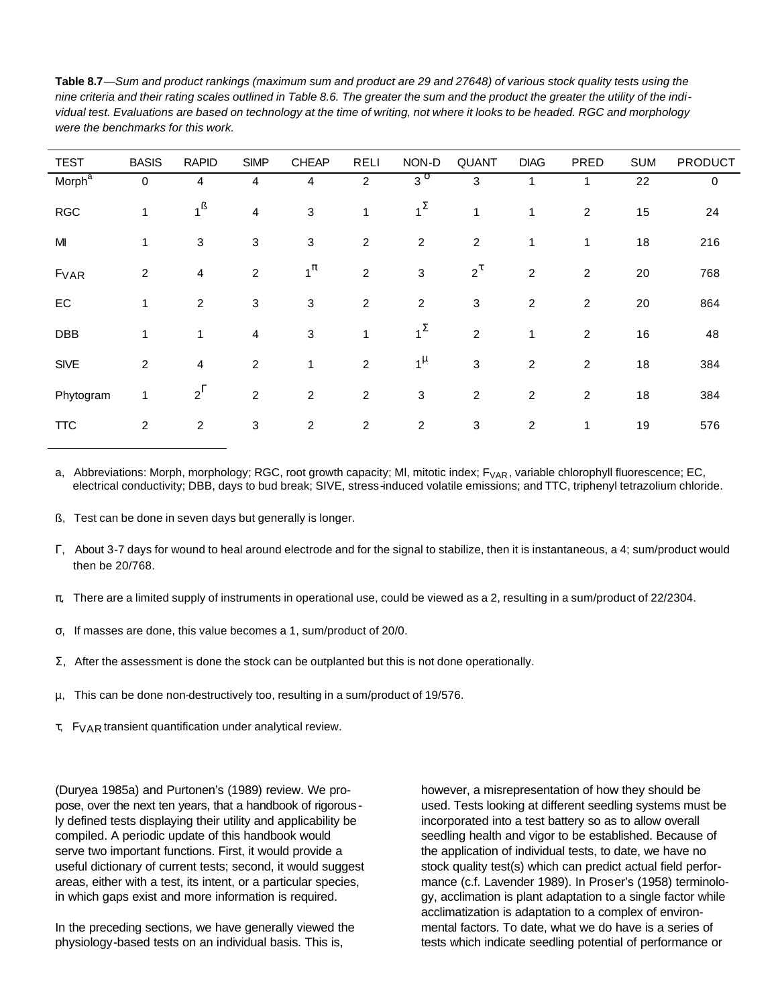| were the benchmarks for this work. |                |                |                |                |                |                |                         |                         |                |            |                |
|------------------------------------|----------------|----------------|----------------|----------------|----------------|----------------|-------------------------|-------------------------|----------------|------------|----------------|
| <b>TEST</b>                        | <b>BASIS</b>   | <b>RAPID</b>   | <b>SIMP</b>    | <b>CHEAP</b>   | <b>RELI</b>    | NON-D          | <b>QUANT</b>            | <b>DIAG</b>             | PRED           | <b>SUM</b> | <b>PRODUCT</b> |
| Morph <sup>a</sup>                 | 0              | 4              | 4              | 4              | 2              | $3^\sigma$     | 3                       | 1                       | 1              | 22         | 0              |
| <b>RGC</b>                         | 1              | $1^{\text{B}}$ | 4              | 3              | 1              | $1^{\Sigma}$   | 1                       | 1                       | $\overline{c}$ | 15         | 24             |
| M                                  | 1              | 3              | 3              | 3              | $\overline{c}$ | $\overline{c}$ | $\boldsymbol{2}$        | 1                       | 1              | 18         | 216            |
| FVAR                               | $\overline{c}$ | 4              | $\overline{c}$ | $1^{\pi}$      | $\overline{c}$ | 3              | $2^{\tau}$              | 2                       | 2              | $20\,$     | 768            |
| ${\sf EC}$                         | 1              | $\overline{2}$ | 3              | 3              | $\overline{c}$ | $\overline{c}$ | 3                       | $\overline{\mathbf{c}}$ | $\overline{c}$ | $20\,$     | 864            |
| <b>DBB</b>                         | 1              | $\mathbf{1}$   | $\overline{4}$ | 3              | 1              | $1^{\Sigma}$   | $\overline{c}$          | 1                       | $\overline{c}$ | 16         | 48             |
| <b>SIVE</b>                        | $\overline{2}$ | 4              | $\overline{c}$ | 1              | $\overline{c}$ | $1^{\mu}$      | 3                       | 2                       | 2              | 18         | 384            |
| Phytogram                          | $\mathbf{1}$   | $2^{\Gamma}$   | $\overline{2}$ | $\overline{c}$ | $\overline{c}$ | 3              | $\overline{\mathbf{c}}$ | 2                       | 2              | 18         | 384            |
| <b>TTC</b>                         | $\overline{c}$ | $\overline{c}$ | 3              | 2              | 2              | 2              | 3                       | 2                       | 1              | 19         | 576            |

**Table 8.7***—Sum and product rankings (maximum sum and product are 29 and 27648) of various stock quality tests using the nine criteria and their rating scales outlined in Table 8.6. The greater the sum and the product the greater the utility of the individual test. Evaluations are based on technology at the time of writing, not where it looks to be headed. RGC and morphology were the benchmarks for this work.*

a, Abbreviations: Morph, morphology; RGC, root growth capacity; MI, mitotic index;  $F_{VAR}$ , variable chlorophyll fluorescence; EC, electrical conductivity; DBB, days to bud break; SIVE, stress-induced volatile emissions; and TTC, triphenyl tetrazolium chloride.

- ß, Test can be done in seven days but generally is longer.
- Γ, About 3-7 days for wound to heal around electrode and for the signal to stabilize, then it is instantaneous, a 4; sum/product would then be 20/768.
- π,There are a limited supply of instruments in operational use, could be viewed as a 2, resulting in a sum/product of 22/2304.
- σ, If masses are done, this value becomes a 1, sum/product of 20/0.
- Σ, After the assessment is done the stock can be outplanted but this is not done operationally.
- µ, This can be done non-destructively too, resulting in a sum/product of 19/576.
- τ, FVAR transient quantification under analytical review.

(Duryea 1985a) and Purtonen's (1989) review. We propose, over the next ten years, that a handbook of rigorously defined tests displaying their utility and applicability be compiled. A periodic update of this handbook would serve two important functions. First, it would provide a useful dictionary of current tests; second, it would suggest areas, either with a test, its intent, or a particular species, in which gaps exist and more information is required.

In the preceding sections, we have generally viewed the physiology-based tests on an individual basis. This is,

however, a misrepresentation of how they should be used. Tests looking at different seedling systems must be incorporated into a test battery so as to allow overall seedling health and vigor to be established. Because of the application of individual tests, to date, we have no stock quality test(s) which can predict actual field performance (c.f. Lavender 1989). In Proser's (1958) terminology, acclimation is plant adaptation to a single factor while acclimatization is adaptation to a complex of environmental factors. To date, what we do have is a series of tests which indicate seedling potential of performance or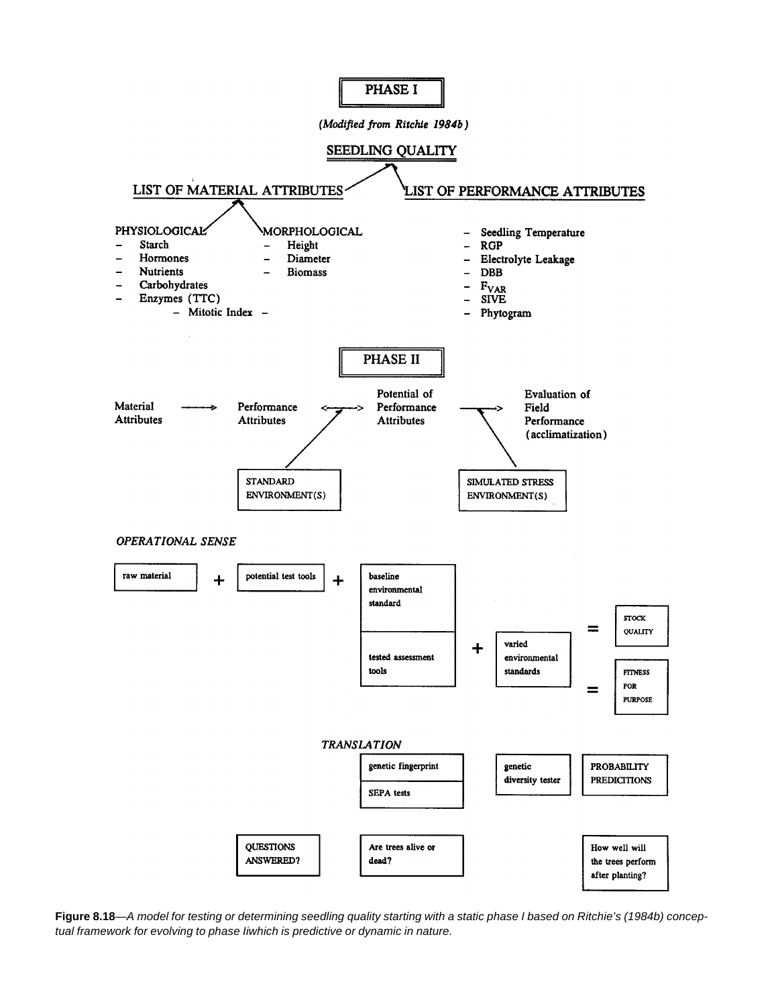

**Figure 8.18**—*A model for testing or determining seedling quality starting with a static phase I based on Ritchie's (1984b) conceptual framework for evolving to phase Iiwhich is predictive or dynamic in nature.*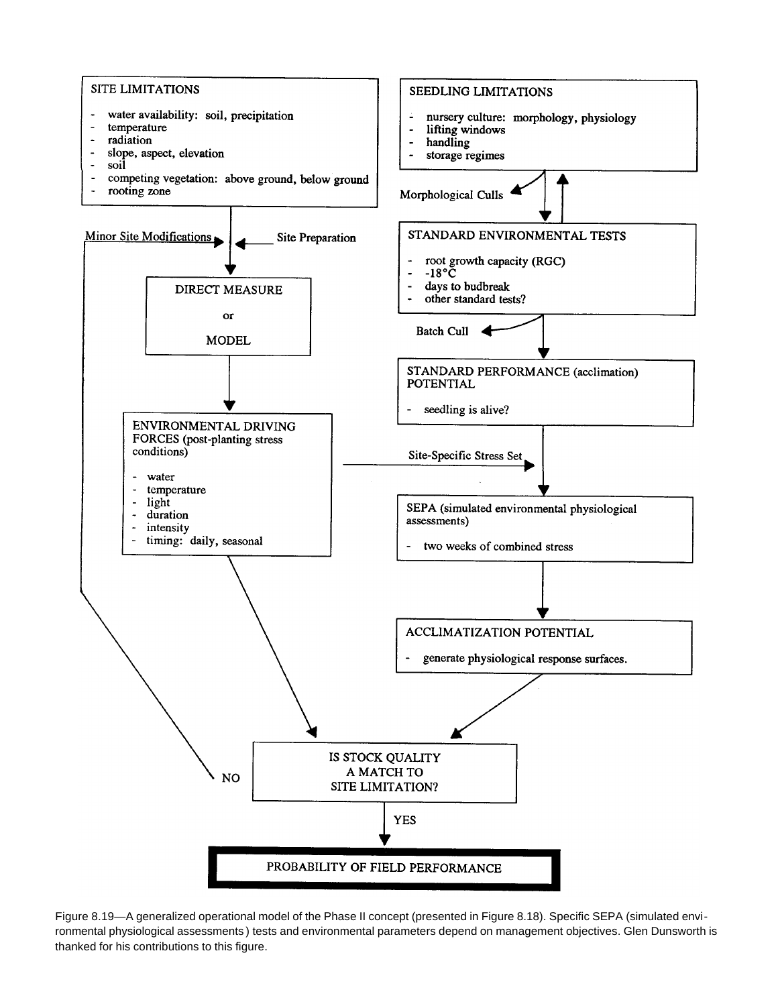

Figure 8.19—A generalized operational model of the Phase II concept (presented in Figure 8.18). Specific SEPA (simulated environmental physiological assessments ) tests and environmental parameters depend on management objectives. Glen Dunsworth is thanked for his contributions to this figure.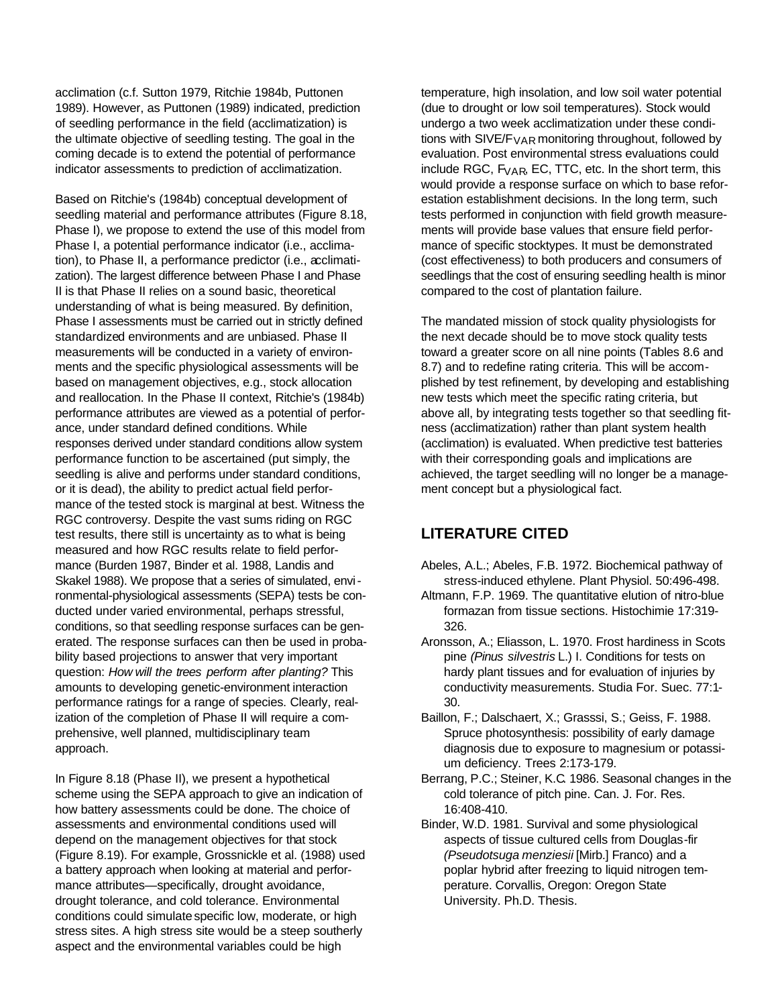acclimation (c.f. Sutton 1979, Ritchie 1984b, Puttonen 1989). However, as Puttonen (1989) indicated, prediction of seedling performance in the field (acclimatization) is the ultimate objective of seedling testing. The goal in the coming decade is to extend the potential of performance indicator assessments to prediction of acclimatization.

Based on Ritchie's (1984b) conceptual development of seedling material and performance attributes (Figure 8.18, Phase I), we propose to extend the use of this model from Phase I, a potential performance indicator (i.e., acclimation), to Phase II, a performance predictor (i.e., acclimatization). The largest difference between Phase I and Phase II is that Phase II relies on a sound basic, theoretical understanding of what is being measured. By definition, Phase I assessments must be carried out in strictly defined standardized environments and are unbiased. Phase II measurements will be conducted in a variety of environments and the specific physiological assessments will be based on management objectives, e.g., stock allocation and reallocation. In the Phase II context, Ritchie's (1984b) performance attributes are viewed as a potential of perforance, under standard defined conditions. While responses derived under standard conditions allow system performance function to be ascertained (put simply, the seedling is alive and performs under standard conditions, or it is dead), the ability to predict actual field performance of the tested stock is marginal at best. Witness the RGC controversy. Despite the vast sums riding on RGC test results, there still is uncertainty as to what is being measured and how RGC results relate to field performance (Burden 1987, Binder et al. 1988, Landis and Skakel 1988). We propose that a series of simulated, environmental-physiological assessments (SEPA) tests be conducted under varied environmental, perhaps stressful, conditions, so that seedling response surfaces can be generated. The response surfaces can then be used in probability based projections to answer that very important question: *How will the trees perform after planting?* This amounts to developing genetic-environment interaction performance ratings for a range of species. Clearly, realization of the completion of Phase II will require a comprehensive, well planned, multidisciplinary team approach.

In Figure 8.18 (Phase II), we present a hypothetical scheme using the SEPA approach to give an indication of how battery assessments could be done. The choice of assessments and environmental conditions used will depend on the management objectives for that stock (Figure 8.19). For example, Grossnickle et al. (1988) used a battery approach when looking at material and performance attributes—specifically, drought avoidance, drought tolerance, and cold tolerance. Environmental conditions could simulate specific low, moderate, or high stress sites. A high stress site would be a steep southerly aspect and the environmental variables could be high

temperature, high insolation, and low soil water potential (due to drought or low soil temperatures). Stock would undergo a two week acclimatization under these conditions with SIVE/F<sub>VAR</sub> monitoring throughout, followed by evaluation. Post environmental stress evaluations could include RGC, F<sub>VAR</sub>, EC, TTC, etc. In the short term, this would provide a response surface on which to base reforestation establishment decisions. In the long term, such tests performed in conjunction with field growth measurements will provide base values that ensure field performance of specific stocktypes. It must be demonstrated (cost effectiveness) to both producers and consumers of seedlings that the cost of ensuring seedling health is minor compared to the cost of plantation failure.

The mandated mission of stock quality physiologists for the next decade should be to move stock quality tests toward a greater score on all nine points (Tables 8.6 and 8.7) and to redefine rating criteria. This will be accomplished by test refinement, by developing and establishing new tests which meet the specific rating criteria, but above all, by integrating tests together so that seedling fitness (acclimatization) rather than plant system health (acclimation) is evaluated. When predictive test batteries with their corresponding goals and implications are achieved, the target seedling will no longer be a management concept but a physiological fact.

### **LITERATURE CITED**

- Abeles, A.L.; Abeles, F.B. 1972. Biochemical pathway of stress-induced ethylene. Plant Physiol. 50:496-498.
- Altmann, F.P. 1969. The quantitative elution of nitro-blue formazan from tissue sections. Histochimie 17:319- 326.
- Aronsson, A.; Eliasson, L. 1970. Frost hardiness in Scots pine *(Pinus silvestris* L.) I. Conditions for tests on hardy plant tissues and for evaluation of injuries by conductivity measurements. Studia For. Suec. 77:1- 30.
- Baillon, F.; Dalschaert, X.; Grasssi, S.; Geiss, F. 1988. Spruce photosynthesis: possibility of early damage diagnosis due to exposure to magnesium or potassium deficiency. Trees 2:173-179.
- Berrang, P.C.; Steiner, K.C. 1986. Seasonal changes in the cold tolerance of pitch pine. Can. J. For. Res. 16:408-410.
- Binder, W.D. 1981. Survival and some physiological aspects of tissue cultured cells from Douglas-fir *(Pseudotsuga menziesii* [Mirb.] Franco) and a poplar hybrid after freezing to liquid nitrogen temperature. Corvallis, Oregon: Oregon State University. Ph.D. Thesis.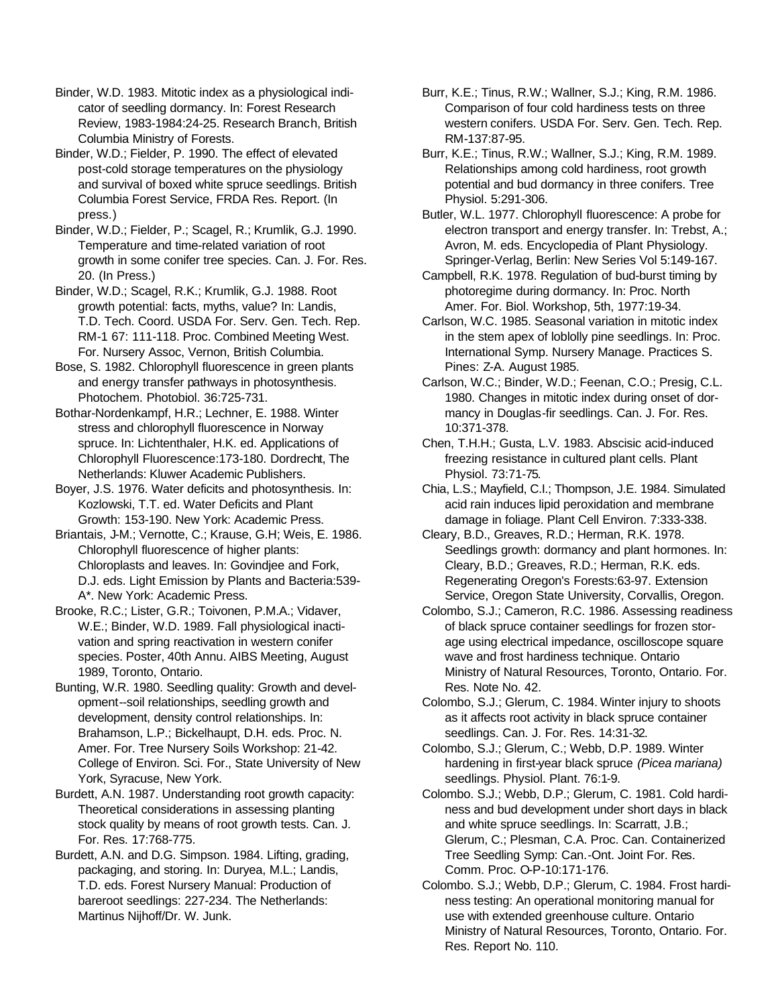Binder, W.D. 1983. Mitotic index as a physiological indicator of seedling dormancy. In: Forest Research Review, 1983-1984:24-25. Research Branch, British Columbia Ministry of Forests.

Binder, W.D.; Fielder, P. 1990. The effect of elevated post-cold storage temperatures on the physiology and survival of boxed white spruce seedlings. British Columbia Forest Service, FRDA Res. Report. (In press.)

Binder, W.D.; Fielder, P.; Scagel, R.; Krumlik, G.J. 1990. Temperature and time-related variation of root growth in some conifer tree species. Can. J. For. Res. 20. (In Press.)

Binder, W.D.; Scagel, R.K.; Krumlik, G.J. 1988. Root growth potential: facts, myths, value? In: Landis, T.D. Tech. Coord. USDA For. Serv. Gen. Tech. Rep. RM-1 67: 111-118. Proc. Combined Meeting West. For. Nursery Assoc, Vernon, British Columbia.

Bose, S. 1982. Chlorophyll fluorescence in green plants and energy transfer pathways in photosynthesis. Photochem. Photobiol. 36:725-731.

Bothar-Nordenkampf, H.R.; Lechner, E. 1988. Winter stress and chlorophyll fluorescence in Norway spruce. In: Lichtenthaler, H.K. ed. Applications of Chlorophyll Fluorescence:173-180. Dordrecht, The Netherlands: Kluwer Academic Publishers.

Boyer, J.S. 1976. Water deficits and photosynthesis. In: Kozlowski, T.T. ed. Water Deficits and Plant Growth: 153-190. New York: Academic Press.

Briantais, J-M.; Vernotte, C.; Krause, G.H; Weis, E. 1986. Chlorophyll fluorescence of higher plants: Chloroplasts and leaves. In: Govindjee and Fork, D.J. eds. Light Emission by Plants and Bacteria:539- A\*. New York: Academic Press.

Brooke, R.C.; Lister, G.R.; Toivonen, P.M.A.; Vidaver, W.E.; Binder, W.D. 1989. Fall physiological inactivation and spring reactivation in western conifer species. Poster, 40th Annu. AIBS Meeting, August 1989, Toronto, Ontario.

Bunting, W.R. 1980. Seedling quality: Growth and development--soil relationships, seedling growth and development, density control relationships. In: Brahamson, L.P.; Bickelhaupt, D.H. eds. Proc. N. Amer. For. Tree Nursery Soils Workshop: 21-42. College of Environ. Sci. For., State University of New York, Syracuse, New York.

Burdett, A.N. 1987. Understanding root growth capacity: Theoretical considerations in assessing planting stock quality by means of root growth tests. Can. J. For. Res. 17:768-775.

Burdett, A.N. and D.G. Simpson. 1984. Lifting, grading, packaging, and storing. In: Duryea, M.L.; Landis, T.D. eds. Forest Nursery Manual: Production of bareroot seedlings: 227-234. The Netherlands: Martinus Nijhoff/Dr. W. Junk.

Burr, K.E.; Tinus, R.W.; Wallner, S.J.; King, R.M. 1986. Comparison of four cold hardiness tests on three western conifers. USDA For. Serv. Gen. Tech. Rep. RM-137:87-95.

Burr, K.E.; Tinus, R.W.; Wallner, S.J.; King, R.M. 1989. Relationships among cold hardiness, root growth potential and bud dormancy in three conifers. Tree Physiol. 5:291-306.

Butler, W.L. 1977. Chlorophyll fluorescence: A probe for electron transport and energy transfer. In: Trebst, A.; Avron, M. eds. Encyclopedia of Plant Physiology. Springer-Verlag, Berlin: New Series Vol 5:149-167.

Campbell, R.K. 1978. Regulation of bud-burst timing by photoregime during dormancy. In: Proc. North Amer. For. Biol. Workshop, 5th, 1977:19-34.

Carlson, W.C. 1985. Seasonal variation in mitotic index in the stem apex of loblolly pine seedlings. In: Proc. International Symp. Nursery Manage. Practices S. Pines: Z-A. August 1985.

Carlson, W.C.; Binder, W.D.; Feenan, C.O.; Presig, C.L. 1980. Changes in mitotic index during onset of dormancy in Douglas-fir seedlings. Can. J. For. Res. 10:371-378.

Chen, T.H.H.; Gusta, L.V. 1983. Abscisic acid-induced freezing resistance in cultured plant cells. Plant Physiol. 73:71-75.

Chia, L.S.; Mayfield, C.I.; Thompson, J.E. 1984. Simulated acid rain induces lipid peroxidation and membrane damage in foliage. Plant Cell Environ. 7:333-338.

Cleary, B.D., Greaves, R.D.; Herman, R.K. 1978. Seedlings growth: dormancy and plant hormones. In: Cleary, B.D.; Greaves, R.D.; Herman, R.K. eds. Regenerating Oregon's Forests:63-97. Extension Service, Oregon State University, Corvallis, Oregon.

Colombo, S.J.; Cameron, R.C. 1986. Assessing readiness of black spruce container seedlings for frozen storage using electrical impedance, oscilloscope square wave and frost hardiness technique. Ontario Ministry of Natural Resources, Toronto, Ontario. For. Res. Note No. 42.

Colombo, S.J.; Glerum, C. 1984. Winter injury to shoots as it affects root activity in black spruce container seedlings. Can. J. For. Res. 14:31-32.

Colombo, S.J.; Glerum, C.; Webb, D.P. 1989. Winter hardening in first-year black spruce *(Picea mariana)* seedlings. Physiol. Plant. 76:1-9.

Colombo. S.J.; Webb, D.P.; Glerum, C. 1981. Cold hardiness and bud development under short days in black and white spruce seedlings. In: Scarratt, J.B.; Glerum, C.; Plesman, C.A. Proc. Can. Containerized Tree Seedling Symp: Can.-Ont. Joint For. Res. Comm. Proc. O-P-10:171-176.

Colombo. S.J.; Webb, D.P.; Glerum, C. 1984. Frost hardiness testing: An operational monitoring manual for use with extended greenhouse culture. Ontario Ministry of Natural Resources, Toronto, Ontario. For. Res. Report No. 110.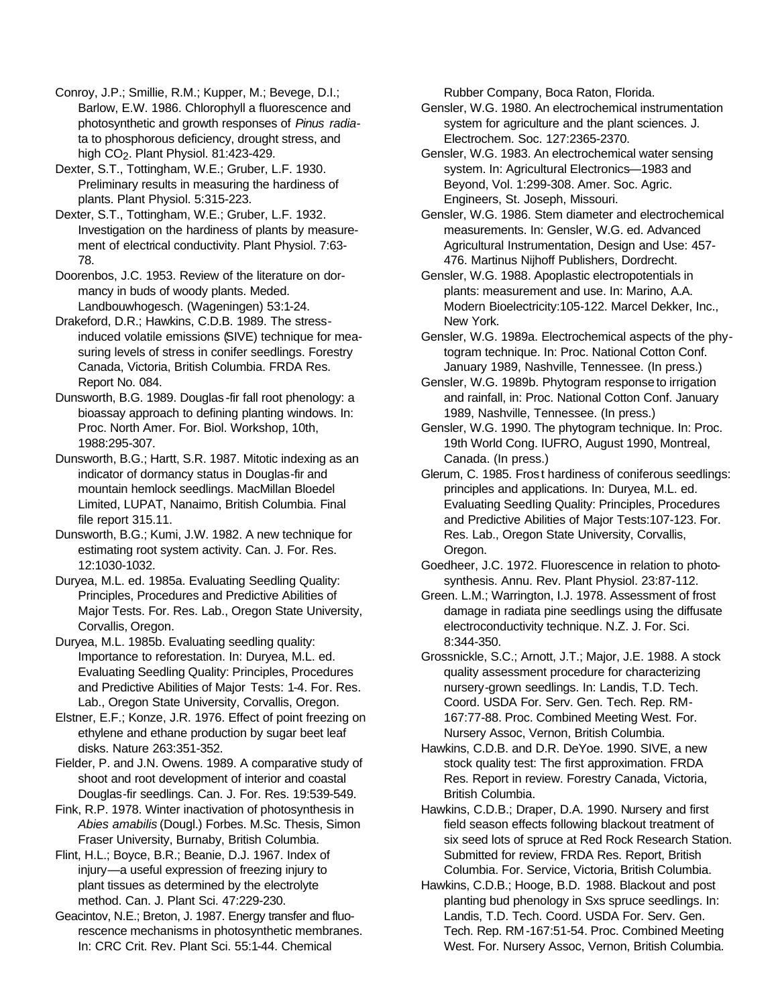Conroy, J.P.; Smillie, R.M.; Kupper, M.; Bevege, D.I.; Barlow, E.W. 1986. Chlorophyll a fluorescence and photosynthetic and growth responses of *Pinus radia*ta to phosphorous deficiency, drought stress, and high CO<sub>2</sub>. Plant Physiol. 81:423-429.

Dexter, S.T., Tottingham, W.E.; Gruber, L.F. 1930. Preliminary results in measuring the hardiness of plants. Plant Physiol. 5:315-223.

Dexter, S.T., Tottingham, W.E.; Gruber, L.F. 1932. Investigation on the hardiness of plants by measurement of electrical conductivity. Plant Physiol. 7:63- 78.

Doorenbos, J.C. 1953. Review of the literature on dormancy in buds of woody plants. Meded. Landbouwhogesch. (Wageningen) 53:1-24.

Drakeford, D.R.; Hawkins, C.D.B. 1989. The stressinduced volatile emissions (SIVE) technique for measuring levels of stress in conifer seedlings. Forestry Canada, Victoria, British Columbia. FRDA Res. Report No. 084.

Dunsworth, B.G. 1989. Douglas -fir fall root phenology: a bioassay approach to defining planting windows. In: Proc. North Amer. For. Biol. Workshop, 10th, 1988:295-307.

Dunsworth, B.G.; Hartt, S.R. 1987. Mitotic indexing as an indicator of dormancy status in Douglas-fir and mountain hemlock seedlings. MacMillan Bloedel Limited, LUPAT, Nanaimo, British Columbia. Final file report 315.11.

Dunsworth, B.G.; Kumi, J.W. 1982. A new technique for estimating root system activity. Can. J. For. Res. 12:1030-1032.

Duryea, M.L. ed. 1985a. Evaluating Seedling Quality: Principles, Procedures and Predictive Abilities of Major Tests. For. Res. Lab., Oregon State University, Corvallis, Oregon.

Duryea, M.L. 1985b. Evaluating seedling quality: Importance to reforestation. In: Duryea, M.L. ed. Evaluating Seedling Quality: Principles, Procedures and Predictive Abilities of Major Tests: 1-4. For. Res. Lab., Oregon State University, Corvallis, Oregon.

Elstner, E.F.; Konze, J.R. 1976. Effect of point freezing on ethylene and ethane production by sugar beet leaf disks. Nature 263:351-352.

Fielder, P. and J.N. Owens. 1989. A comparative study of shoot and root development of interior and coastal Douglas-fir seedlings. Can. J. For. Res. 19:539-549.

Fink, R.P. 1978. Winter inactivation of photosynthesis in *Abies amabilis* (Dougl.) Forbes. M.Sc. Thesis, Simon Fraser University, Burnaby, British Columbia.

Flint, H.L.; Boyce, B.R.; Beanie, D.J. 1967. Index of injury—a useful expression of freezing injury to plant tissues as determined by the electrolyte method. Can. J. Plant Sci. 47:229-230.

Geacintov, N.E.; Breton, J. 1987. Energy transfer and fluorescence mechanisms in photosynthetic membranes. In: CRC Crit. Rev. Plant Sci. 55:1-44. Chemical

Rubber Company, Boca Raton, Florida.

Gensler, W.G. 1980. An electrochemical instrumentation system for agriculture and the plant sciences. J. Electrochem. Soc. 127:2365-2370.

Gensler, W.G. 1983. An electrochemical water sensing system. In: Agricultural Electronics—1983 and Beyond, Vol. 1:299-308. Amer. Soc. Agric. Engineers, St. Joseph, Missouri.

Gensler, W.G. 1986. Stem diameter and electrochemical measurements. In: Gensler, W.G. ed. Advanced Agricultural Instrumentation, Design and Use: 457- 476. Martinus Nijhoff Publishers, Dordrecht.

Gensler, W.G. 1988. Apoplastic electropotentials in plants: measurement and use. In: Marino, A.A. Modern Bioelectricity:105-122. Marcel Dekker, Inc., New York.

Gensler, W.G. 1989a. Electrochemical aspects of the phytogram technique. In: Proc. National Cotton Conf. January 1989, Nashville, Tennessee. (In press.)

Gensler, W.G. 1989b. Phytogram response to irrigation and rainfall, in: Proc. National Cotton Conf. January 1989, Nashville, Tennessee. (In press.)

Gensler, W.G. 1990. The phytogram technique. In: Proc. 19th World Cong. IUFRO, August 1990, Montreal, Canada. (In press.)

Glerum, C. 1985. Fros t hardiness of coniferous seedlings: principles and applications. In: Duryea, M.L. ed. Evaluating SeedIing Quality: Principles, Procedures and Predictive Abilities of Major Tests:107-123. For. Res. Lab., Oregon State University, Corvallis, Oregon.

Goedheer, J.C. 1972. Fluorescence in relation to photosynthesis. Annu. Rev. Plant Physiol. 23:87-112.

Green. L.M.; Warrington, I.J. 1978. Assessment of frost damage in radiata pine seedlings using the diffusate electroconductivity technique. N.Z. J. For. Sci. 8:344-350.

Grossnickle, S.C.; Arnott, J.T.; Major, J.E. 1988. A stock quality assessment procedure for characterizing nursery-grown seedlings. In: Landis, T.D. Tech. Coord. USDA For. Serv. Gen. Tech. Rep. RM-167:77-88. Proc. Combined Meeting West. For. Nursery Assoc, Vernon, British Columbia.

Hawkins, C.D.B. and D.R. DeYoe. 1990. SIVE, a new stock quality test: The first approximation. FRDA Res. Report in review. Forestry Canada, Victoria, British Columbia.

Hawkins, C.D.B.; Draper, D.A. 1990. Nursery and first field season effects following blackout treatment of six seed lots of spruce at Red Rock Research Station. Submitted for review, FRDA Res. Report, British Columbia. For. Service, Victoria, British Columbia.

Hawkins, C.D.B.; Hooge, B.D. 1988. Blackout and post planting bud phenology in Sxs spruce seedlings. In: Landis, T.D. Tech. Coord. USDA For. Serv. Gen. Tech. Rep. RM-167:51-54. Proc. Combined Meeting West. For. Nursery Assoc, Vernon, British Columbia.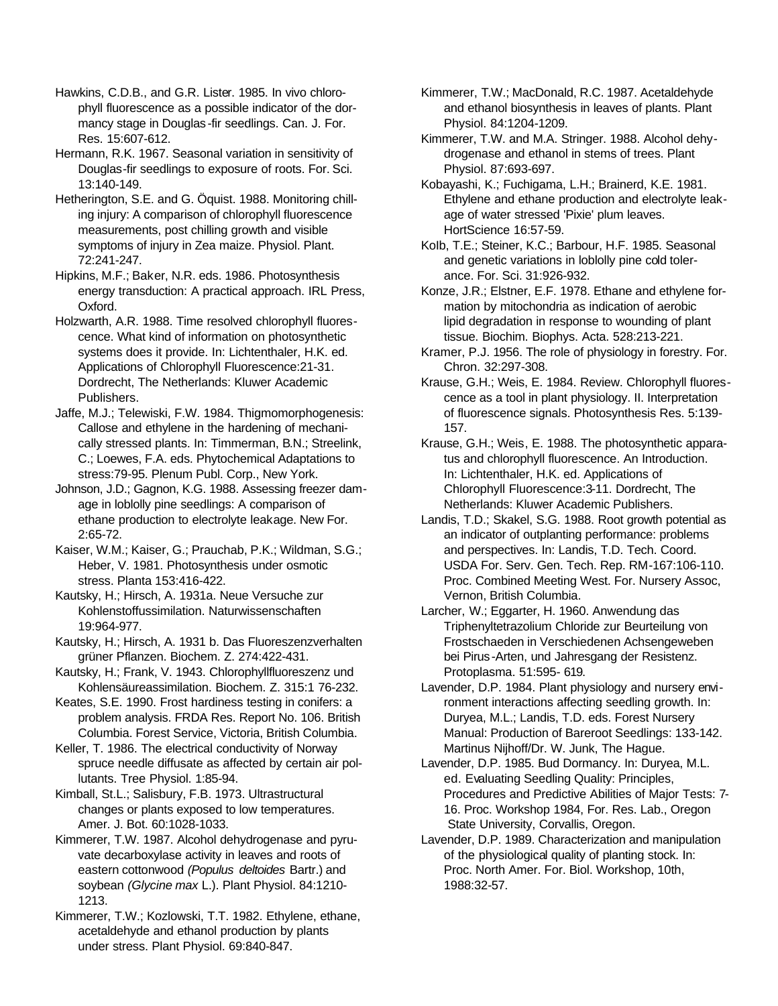Hawkins, C.D.B., and G.R. Lister. 1985. In vivo chlorophyll fluorescence as a possible indicator of the dormancy stage in Douglas -fir seedlings. Can. J. For. Res. 15:607-612.

Hermann, R.K. 1967. Seasonal variation in sensitivity of Douglas-fir seedlings to exposure of roots. For. Sci. 13:140-149.

Hetherington, S.E. and G. Öquist. 1988. Monitoring chilling injury: A comparison of chlorophyll fluorescence measurements, post chilling growth and visible symptoms of injury in Zea maize. Physiol. Plant. 72:241-247.

Hipkins, M.F.; Baker, N.R. eds. 1986. Photosynthesis energy transduction: A practical approach. IRL Press, Oxford.

Holzwarth, A.R. 1988. Time resolved chlorophyll fluorescence. What kind of information on photosynthetic systems does it provide. In: Lichtenthaler, H.K. ed. Applications of Chlorophyll Fluorescence:21-31. Dordrecht, The Netherlands: Kluwer Academic Publishers.

Jaffe, M.J.; Telewiski, F.W. 1984. Thigmomorphogenesis: Callose and ethylene in the hardening of mechanically stressed plants. In: Timmerman, B.N.; Streelink, C.; Loewes, F.A. eds. Phytochemical Adaptations to stress:79-95. Plenum Publ. Corp., New York.

Johnson, J.D.; Gagnon, K.G. 1988. Assessing freezer damage in loblolly pine seedlings: A comparison of ethane production to electrolyte leakage. New For. 2:65-72.

Kaiser, W.M.; Kaiser, G.; Prauchab, P.K.; Wildman, S.G.; Heber, V. 1981. Photosynthesis under osmotic stress. Planta 153:416-422.

Kautsky, H.; Hirsch, A. 1931a. Neue Versuche zur Kohlenstoffussimilation. Naturwissenschaften 19:964-977.

Kautsky, H.; Hirsch, A. 1931 b. Das Fluoreszenzverhalten grüner Pflanzen. Biochem. Z. 274:422-431.

Kautsky, H.; Frank, V. 1943. Chlorophyllfluoreszenz und Kohlensäureassimilation. Biochem. Z. 315:1 76-232.

Keates, S.E. 1990. Frost hardiness testing in conifers: a problem analysis. FRDA Res. Report No. 106. British Columbia. Forest Service, Victoria, British Columbia.

Keller, T. 1986. The electrical conductivity of Norway spruce needle diffusate as affected by certain air pollutants. Tree Physiol. 1:85-94.

Kimball, St.L.; Salisbury, F.B. 1973. Ultrastructural changes or plants exposed to low temperatures. Amer. J. Bot. 60:1028-1033.

Kimmerer, T.W. 1987. Alcohol dehydrogenase and pyruvate decarboxylase activity in leaves and roots of eastern cottonwood *(Populus deltoides* Bartr.) and soybean *(Glycine max* L.). Plant Physiol. 84:1210- 1213.

Kimmerer, T.W.; Kozlowski, T.T. 1982. Ethylene, ethane, acetaldehyde and ethanol production by plants under stress. Plant Physiol. 69:840-847.

Kimmerer, T.W.; MacDonald, R.C. 1987. Acetaldehyde and ethanol biosynthesis in leaves of plants. Plant Physiol. 84:1204-1209.

Kimmerer, T.W. and M.A. Stringer. 1988. Alcohol dehydrogenase and ethanol in stems of trees. Plant Physiol. 87:693-697.

Kobayashi, K.; Fuchigama, L.H.; Brainerd, K.E. 1981. Ethylene and ethane production and electrolyte leakage of water stressed 'Pixie' plum leaves. HortScience 16:57-59.

KoIb, T.E.; Steiner, K.C.; Barbour, H.F. 1985. Seasonal and genetic variations in loblolly pine cold tolerance. For. Sci. 31:926-932.

Konze, J.R.; Elstner, E.F. 1978. Ethane and ethylene formation by mitochondria as indication of aerobic lipid degradation in response to wounding of plant tissue. Biochim. Biophys. Acta. 528:213-221.

Kramer, P.J. 1956. The role of physiology in forestry. For. Chron. 32:297-308.

Krause, G.H.; Weis, E. 1984. Review. Chlorophyll fluorescence as a tool in plant physiology. II. Interpretation of fluorescence signals. Photosynthesis Res. 5:139- 157.

Krause, G.H.; Weis, E. 1988. The photosynthetic apparatus and chlorophyll fluorescence. An Introduction. In: Lichtenthaler, H.K. ed. Applications of Chlorophyll Fluorescence:3-11. Dordrecht, The Netherlands: Kluwer Academic Publishers.

Landis, T.D.; Skakel, S.G. 1988. Root growth potential as an indicator of outplanting performance: problems and perspectives. In: Landis, T.D. Tech. Coord. USDA For. Serv. Gen. Tech. Rep. RM-167:106-110. Proc. Combined Meeting West. For. Nursery Assoc, Vernon, British Columbia.

Larcher, W.; Eggarter, H. 1960. Anwendung das Triphenyltetrazolium Chloride zur Beurteilung von Frostschaeden in Verschiedenen Achsengeweben bei Pirus -Arten, und Jahresgang der Resistenz. Protoplasma. 51:595- 619.

Lavender, D.P. 1984. Plant physiology and nursery environment interactions affecting seedling growth. In: Duryea, M.L.; Landis, T.D. eds. Forest Nursery Manual: Production of Bareroot Seedlings: 133-142. Martinus Nijhoff/Dr. W. Junk, The Hague.

Lavender, D.P. 1985. Bud Dormancy. In: Duryea, M.L. ed. Evaluating Seedling Quality: Principles, Procedures and Predictive Abilities of Major Tests: 7- 16. Proc. Workshop 1984, For. Res. Lab., Oregon State University, Corvallis, Oregon.

Lavender, D.P. 1989. Characterization and manipulation of the physiological quality of planting stock. In: Proc. North Amer. For. Biol. Workshop, 10th, 1988:32-57.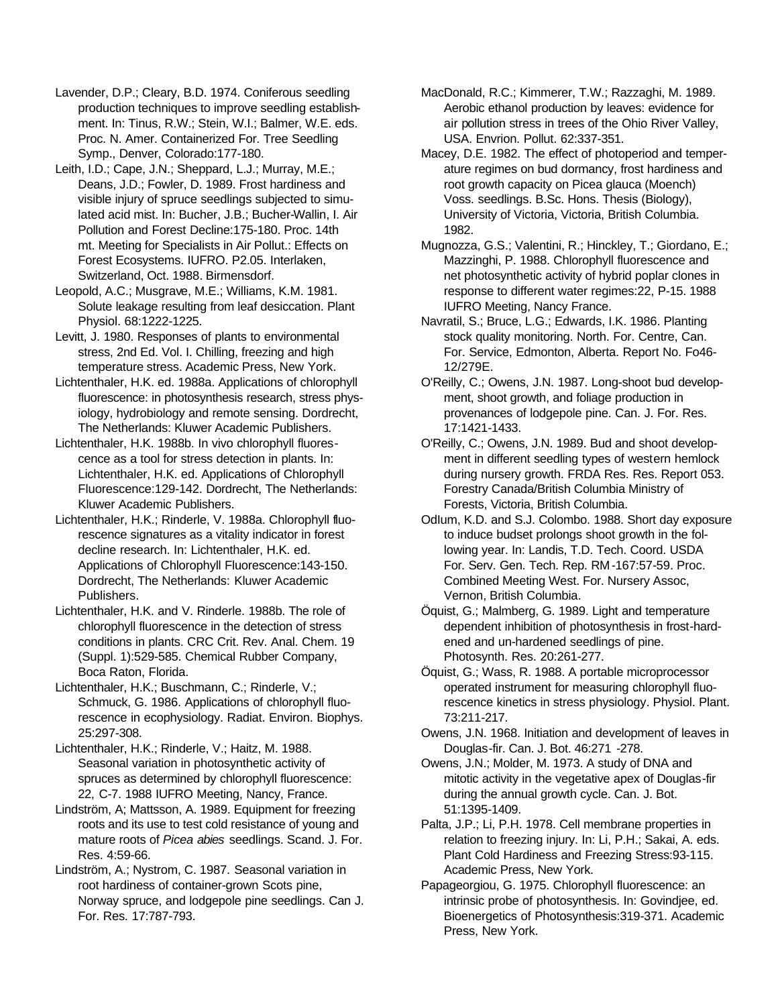Lavender, D.P.; Cleary, B.D. 1974. Coniferous seedling production techniques to improve seedling establishment. In: Tinus, R.W.; Stein, W.I.; Balmer, W.E. eds. Proc. N. Amer. Containerized For. Tree Seedling Symp., Denver, Colorado:177-180.

Leith, I.D.; Cape, J.N.; Sheppard, L.J.; Murray, M.E.; Deans, J.D.; Fowler, D. 1989. Frost hardiness and visible injury of spruce seedlings subjected to simulated acid mist. In: Bucher, J.B.; Bucher-Wallin, I. Air Pollution and Forest Decline:175-180. Proc. 14th mt. Meeting for Specialists in Air Pollut.: Effects on Forest Ecosystems. IUFRO. P2.05. Interlaken, Switzerland, Oct. 1988. Birmensdorf.

Leopold, A.C.; Musgrave, M.E.; Williams, K.M. 1981. Solute leakage resulting from leaf desiccation. Plant Physiol. 68:1222-1225.

Levitt, J. 1980. Responses of plants to environmental stress, 2nd Ed. Vol. I. Chilling, freezing and high temperature stress. Academic Press, New York.

Lichtenthaler, H.K. ed. 1988a. Applications of chlorophyll fluorescence: in photosynthesis research, stress physiology, hydrobiology and remote sensing. Dordrecht, The Netherlands: Kluwer Academic Publishers.

Lichtenthaler, H.K. 1988b. In vivo chlorophyll fluorescence as a tool for stress detection in plants. In: Lichtenthaler, H.K. ed. Applications of Chlorophyll Fluorescence:129-142. Dordrecht, The Netherlands: Kluwer Academic Publishers.

Lichtenthaler, H.K.; Rinderle, V. 1988a. Chlorophyll fluorescence signatures as a vitality indicator in forest decline research. In: Lichtenthaler, H.K. ed. Applications of Chlorophyll Fluorescence:143-150. Dordrecht, The Netherlands: Kluwer Academic Publishers.

Lichtenthaler, H.K. and V. Rinderle. 1988b. The role of chlorophyll fluorescence in the detection of stress conditions in plants. CRC Crit. Rev. Anal. Chem. 19 (Suppl. 1):529-585. Chemical Rubber Company, Boca Raton, Florida.

Lichtenthaler, H.K.; Buschmann, C.; Rinderle, V.; Schmuck, G. 1986. Applications of chlorophyll fluorescence in ecophysiology. Radiat. Environ. Biophys. 25:297-308.

Lichtenthaler, H.K.; Rinderle, V.; Haitz, M. 1988. Seasonal variation in photosynthetic activity of spruces as determined by chlorophyll fluorescence: 22, C-7. 1988 IUFRO Meeting, Nancy, France.

Lindström, A; Mattsson, A. 1989. Equipment for freezing roots and its use to test cold resistance of young and mature roots of *Picea abies* seedlings. Scand. J. For. Res. 4:59-66.

Lindström, A.; Nystrom, C. 1987. Seasonal variation in root hardiness of container-grown Scots pine, Norway spruce, and lodgepole pine seedlings. Can J. For. Res. 17:787-793.

MacDonald, R.C.; Kimmerer, T.W.; Razzaghi, M. 1989. Aerobic ethanol production by leaves: evidence for air pollution stress in trees of the Ohio River Valley, USA. Envrion. Pollut. 62:337-351.

Macey, D.E. 1982. The effect of photoperiod and temperature regimes on bud dormancy, frost hardiness and root growth capacity on Picea glauca (Moench) Voss. seedlings. B.Sc. Hons. Thesis (Biology), University of Victoria, Victoria, British Columbia. 1982.

Mugnozza, G.S.; Valentini, R.; Hinckley, T.; Giordano, E.; Mazzinghi, P. 1988. Chlorophyll fluorescence and net photosynthetic activity of hybrid poplar clones in response to different water regimes:22, P-15. 1988 IUFRO Meeting, Nancy France.

Navratil, S.; Bruce, L.G.; Edwards, I.K. 1986. Planting stock quality monitoring. North. For. Centre, Can. For. Service, Edmonton, Alberta. Report No. Fo46- 12/279E.

O'Reilly, C.; Owens, J.N. 1987. Long-shoot bud development, shoot growth, and foliage production in provenances of lodgepole pine. Can. J. For. Res. 17:1421-1433.

O'Reilly, C.; Owens, J.N. 1989. Bud and shoot development in different seedling types of western hemlock during nursery growth. FRDA Res. Res. Report 053. Forestry Canada/British Columbia Ministry of Forests, Victoria, British Columbia.

OdIum, K.D. and S.J. Colombo. 1988. Short day exposure to induce budset prolongs shoot growth in the following year. In: Landis, T.D. Tech. Coord. USDA For. Serv. Gen. Tech. Rep. RM-167:57-59. Proc. Combined Meeting West. For. Nursery Assoc, Vernon, British Columbia.

Öquist, G.; Malmberg, G. 1989. Light and temperature dependent inhibition of photosynthesis in frost-hardened and un-hardened seedlings of pine. Photosynth. Res. 20:261-277.

Öquist, G.; Wass, R. 1988. A portable microprocessor operated instrument for measuring chlorophyll fluorescence kinetics in stress physiology. Physiol. Plant. 73:211-217.

Owens, J.N. 1968. Initiation and development of leaves in Douglas-fir. Can. J. Bot. 46:271 -278.

Owens, J.N.; Molder, M. 1973. A study of DNA and mitotic activity in the vegetative apex of Douglas-fir during the annual growth cycle. Can. J. Bot. 51:1395-1409.

Palta, J.P.; Li, P.H. 1978. Cell membrane properties in relation to freezing injury. In: Li, P.H.; Sakai, A. eds. Plant Cold Hardiness and Freezing Stress:93-115. Academic Press, New York.

Papageorgiou, G. 1975. Chlorophyll fluorescence: an intrinsic probe of photosynthesis. In: Govindjee, ed. Bioenergetics of Photosynthesis:319-371. Academic Press, New York.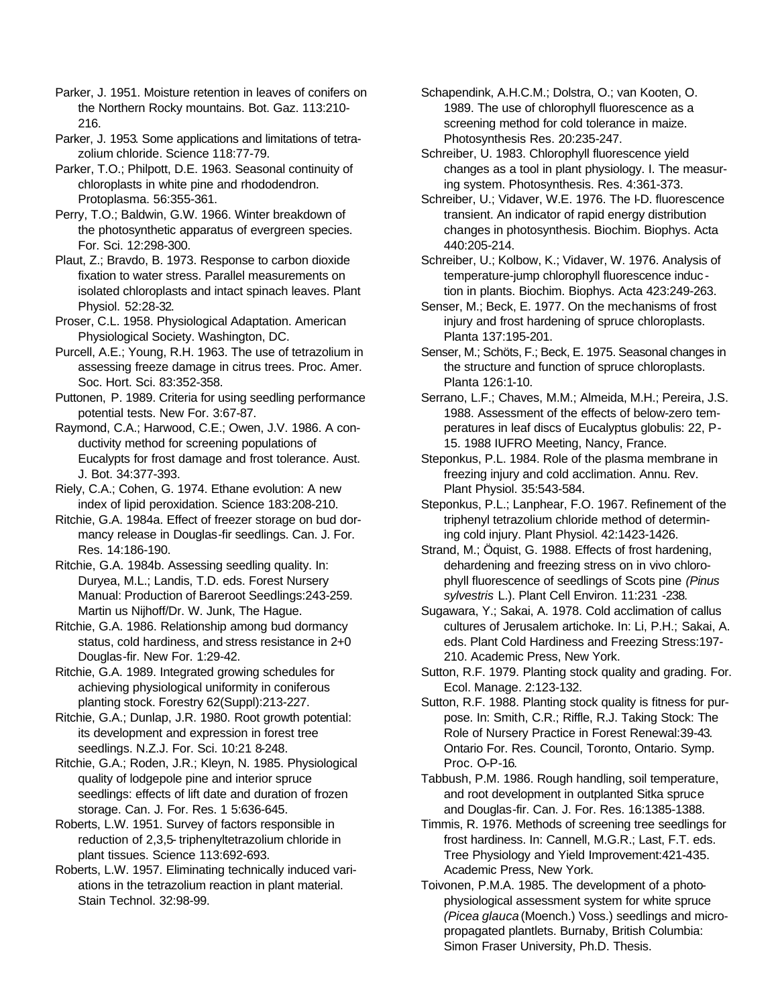Parker, J. 1951. Moisture retention in leaves of conifers on the Northern Rocky mountains. Bot. Gaz. 113:210- 216.

Parker, J. 1953. Some applications and limitations of tetrazolium chloride. Science 118:77-79.

Parker, T.O.; Philpott, D.E. 1963. Seasonal continuity of chloroplasts in white pine and rhododendron. Protoplasma. 56:355-361.

Perry, T.O.; Baldwin, G.W. 1966. Winter breakdown of the photosynthetic apparatus of evergreen species. For. Sci. 12:298-300.

Plaut, Z.; Bravdo, B. 1973. Response to carbon dioxide fixation to water stress. Parallel measurements on isolated chloroplasts and intact spinach leaves. Plant Physiol. 52:28-32.

Proser, C.L. 1958. Physiological Adaptation. American Physiological Society. Washington, DC.

Purcell, A.E.; Young, R.H. 1963. The use of tetrazolium in assessing freeze damage in citrus trees. Proc. Amer. Soc. Hort. Sci. 83:352-358.

Puttonen, P. 1989. Criteria for using seedling performance potential tests. New For. 3:67-87.

Raymond, C.A.; Harwood, C.E.; Owen, J.V. 1986. A conductivity method for screening populations of Eucalypts for frost damage and frost tolerance. Aust. J. Bot. 34:377-393.

Riely, C.A.; Cohen, G. 1974. Ethane evolution: A new index of lipid peroxidation. Science 183:208-210.

Ritchie, G.A. 1984a. Effect of freezer storage on bud dormancy release in Douglas-fir seedlings. Can. J. For. Res. 14:186-190.

Ritchie, G.A. 1984b. Assessing seedling quality. In: Duryea, M.L.; Landis, T.D. eds. Forest Nursery Manual: Production of Bareroot Seedlings:243-259. Martin us Nijhoff/Dr. W. Junk, The Hague.

Ritchie, G.A. 1986. Relationship among bud dormancy status, cold hardiness, and stress resistance in 2+0 Douglas-fir. New For. 1:29-42.

Ritchie, G.A. 1989. Integrated growing schedules for achieving physiological uniformity in coniferous planting stock. Forestry 62(Suppl):213-227.

Ritchie, G.A.; Dunlap, J.R. 1980. Root growth potential: its development and expression in forest tree seedlings. N.Z.J. For. Sci. 10:21 8-248.

Ritchie, G.A.; Roden, J.R.; Kleyn, N. 1985. Physiological quality of lodgepole pine and interior spruce seedlings: effects of lift date and duration of frozen storage. Can. J. For. Res. 1 5:636-645.

Roberts, L.W. 1951. Survey of factors responsible in reduction of 2,3,5- triphenyltetrazolium chloride in plant tissues. Science 113:692-693.

Roberts, L.W. 1957. Eliminating technically induced variations in the tetrazolium reaction in plant material. Stain Technol. 32:98-99.

Schapendink, A.H.C.M.; Dolstra, O.; van Kooten, O. 1989. The use of chlorophyll fluorescence as a screening method for cold tolerance in maize. Photosynthesis Res. 20:235-247.

Schreiber, U. 1983. Chlorophyll fluorescence yield changes as a tool in plant physiology. I. The measuring system. Photosynthesis. Res. 4:361-373.

Schreiber, U.; Vidaver, W.E. 1976. The I-D. fluorescence transient. An indicator of rapid energy distribution changes in photosynthesis. Biochim. Biophys. Acta 440:205-214.

Schreiber, U.; Kolbow, K.; Vidaver, W. 1976. Analysis of temperature-jump chlorophyll fluorescence induc tion in plants. Biochim. Biophys. Acta 423:249-263.

Senser, M.; Beck, E. 1977. On the mechanisms of frost injury and frost hardening of spruce chloroplasts. Planta 137:195-201.

Senser, M.; Schöts, F.; Beck, E. 1975. Seasonal changes in the structure and function of spruce chloroplasts. Planta 126:1-10.

Serrano, L.F.; Chaves, M.M.; Almeida, M.H.; Pereira, J.S. 1988. Assessment of the effects of below-zero temperatures in leaf discs of Eucalyptus globulis: 22, P-15. 1988 IUFRO Meeting, Nancy, France.

Steponkus, P.L. 1984. Role of the plasma membrane in freezing injury and cold acclimation. Annu. Rev. Plant Physiol. 35:543-584.

Steponkus, P.L.; Lanphear, F.O. 1967. Refinement of the triphenyl tetrazolium chloride method of determining cold injury. Plant Physiol. 42:1423-1426.

Strand, M.; Öquist, G. 1988. Effects of frost hardening, dehardening and freezing stress on in vivo chlorophyll fluorescence of seedlings of Scots pine *(Pinus sylvestris* L.). Plant Cell Environ. 11:231 -238.

Sugawara, Y.; Sakai, A. 1978. Cold acclimation of callus cultures of Jerusalem artichoke. In: Li, P.H.; Sakai, A. eds. Plant Cold Hardiness and Freezing Stress:197- 210. Academic Press, New York.

Sutton, R.F. 1979. Planting stock quality and grading. For. Ecol. Manage. 2:123-132.

Sutton, R.F. 1988. Planting stock quality is fitness for purpose. In: Smith, C.R.; Riffle, R.J. Taking Stock: The Role of Nursery Practice in Forest Renewal:39-43. Ontario For. Res. Council, Toronto, Ontario. Symp. Proc. O-P-16.

Tabbush, P.M. 1986. Rough handling, soil temperature, and root development in outplanted Sitka spruce and Douglas-fir. Can. J. For. Res. 16:1385-1388.

Timmis, R. 1976. Methods of screening tree seedlings for frost hardiness. In: Cannell, M.G.R.; Last, F.T. eds. Tree Physiology and Yield Improvement:421-435. Academic Press, New York.

Toivonen, P.M.A. 1985. The development of a photophysiological assessment system for white spruce *(Picea glauca* (Moench.) Voss.) seedlings and micropropagated plantlets. Burnaby, British Columbia: Simon Fraser University, Ph.D. Thesis.